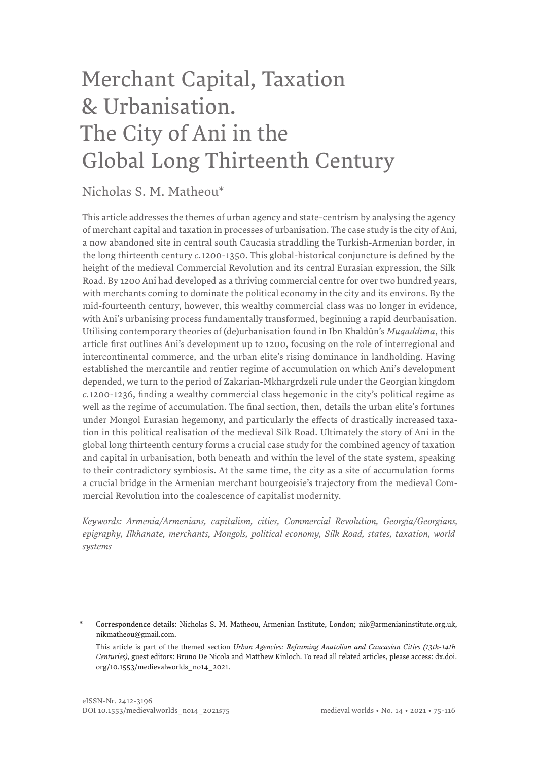# Merchant Capital, Taxation & Urbanisation. The City of Ani in the Global Long Thirteenth Century

### Nicholas S. M. Matheou\*

This article addresses the themes of urban agency and state-centrism by analysing the agency of merchant capital and taxation in processes of urbanisation. The case study is the city of Ani, a now abandoned site in central south Caucasia straddling the Turkish-Armenian border, in the long thirteenth century *c.*1200-1350. This global-historical conjuncture is defined by the height of the medieval Commercial Revolution and its central Eurasian expression, the Silk Road. By 1200 Ani had developed as a thriving commercial centre for over two hundred years, with merchants coming to dominate the political economy in the city and its environs. By the mid-fourteenth century, however, this wealthy commercial class was no longer in evidence, with Ani's urbanising process fundamentally transformed, beginning a rapid deurbanisation. Utilising contemporary theories of (de)urbanisation found in Ibn Khaldūn's *Muqaddima*, this article first outlines Ani's development up to 1200, focusing on the role of interregional and intercontinental commerce, and the urban elite's rising dominance in landholding. Having established the mercantile and rentier regime of accumulation on which Ani's development depended, we turn to the period of Zakarian-Mkhargrdzeli rule under the Georgian kingdom *c.*1200-1236, finding a wealthy commercial class hegemonic in the city's political regime as well as the regime of accumulation. The final section, then, details the urban elite's fortunes under Mongol Eurasian hegemony, and particularly the effects of drastically increased taxation in this political realisation of the medieval Silk Road. Ultimately the story of Ani in the global long thirteenth century forms a crucial case study for the combined agency of taxation and capital in urbanisation, both beneath and within the level of the state system, speaking to their contradictory symbiosis. At the same time, the city as a site of accumulation forms a crucial bridge in the Armenian merchant bourgeoisie's trajectory from the medieval Commercial Revolution into the coalescence of capitalist modernity.

*Keywords: Armenia/Armenians, capitalism, cities, Commercial Revolution, Georgia/Georgians, epigraphy, Ilkhanate, merchants, Mongols, political economy, Silk Road, states, taxation, world systems*

\* Correspondence details: Nicholas S. M. Matheou, Armenian Institute, London; [nik@armenianinstitute.org.uk,](mailto:nik@armenianinstitute.org.uk) [nikmatheou@gmail.com.](mailto:nikmatheou@gmail.com)

This article is part of the themed section *Urban Agencies: Reframing Anatolian and Caucasian Cities (13th-14th Centuries)*, guest editors: Bruno De Nicola and Matthew Kinloch. To read all related articles, please access: [dx.doi.](http://dx.doi.org/10.1553/medievalworlds_no14_2021) [org/10.1553/medievalworlds\\_no14\\_2021.](http://dx.doi.org/10.1553/medievalworlds_no14_2021)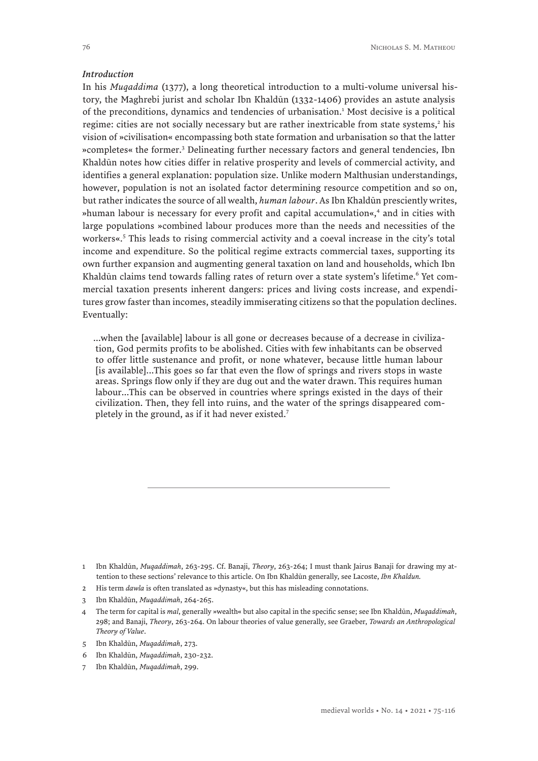#### *Introduction*

In his *Muqaddima* (1377), a long theoretical introduction to a multi-volume universal history, the Maghrebi jurist and scholar Ibn Khaldūn (1332-1406) provides an astute analysis of the preconditions, dynamics and tendencies of urbanisation.<sup>1</sup> Most decisive is a political regime: cities are not socially necessary but are rather inextricable from state systems,<sup>2</sup> his vision of »civilisation« encompassing both state formation and urbanisation so that the latter »completes« the former.3 Delineating further necessary factors and general tendencies, Ibn Khaldūn notes how cities differ in relative prosperity and levels of commercial activity, and identifies a general explanation: population size. Unlike modern Malthusian understandings, however, population is not an isolated factor determining resource competition and so on, but rather indicates the source of all wealth, *human labour*. As Ibn Khaldūn presciently writes, »human labour is necessary for every profit and capital accumulation«,<sup>4</sup> and in cities with large populations »combined labour produces more than the needs and necessities of the workers«.<sup>5</sup> This leads to rising commercial activity and a coeval increase in the city's total income and expenditure. So the political regime extracts commercial taxes, supporting its own further expansion and augmenting general taxation on land and households, which Ibn Khaldūn claims tend towards falling rates of return over a state system's lifetime.<sup>6</sup> Yet commercial taxation presents inherent dangers: prices and living costs increase, and expenditures grow faster than incomes, steadily immiserating citizens so that the population declines. Eventually:

...when the [available] labour is all gone or decreases because of a decrease in civilization, God permits profits to be abolished. Cities with few inhabitants can be observed to offer little sustenance and profit, or none whatever, because little human labour [is available]...This goes so far that even the flow of springs and rivers stops in waste areas. Springs flow only if they are dug out and the water drawn. This requires human labour...This can be observed in countries where springs existed in the days of their civilization. Then, they fell into ruins, and the water of the springs disappeared completely in the ground, as if it had never existed.<sup>7</sup>

- 2 His term *dawla* is often translated as »dynasty«, but this has misleading connotations.
- 3 Ibn Khaldūn, *Muqaddimah*, 264-265.
- 4 The term for capital is *mal*, generally »wealth« but also capital in the specific sense; see Ibn Khaldūn, *Muqaddimah*, 298; and Banaji, *Theory*, 263-264. On labour theories of value generally, see Graeber, *Towards an Anthropological Theory of Value*.
- 5 Ibn Khaldūn, *Muqaddimah*, 273.
- 6 Ibn Khaldūn, *Muqaddimah*, 230-232.
- 7 Ibn Khaldūn, *Muqaddimah*, 299.

<sup>1</sup> Ibn Khaldūn, *Muqaddimah*, 263-295. Cf. Banaji, *Theory*, 263-264; I must thank Jairus Banaji for drawing my attention to these sections' relevance to this article. On Ibn Khaldūn generally, see Lacoste, *Ibn Khaldun.*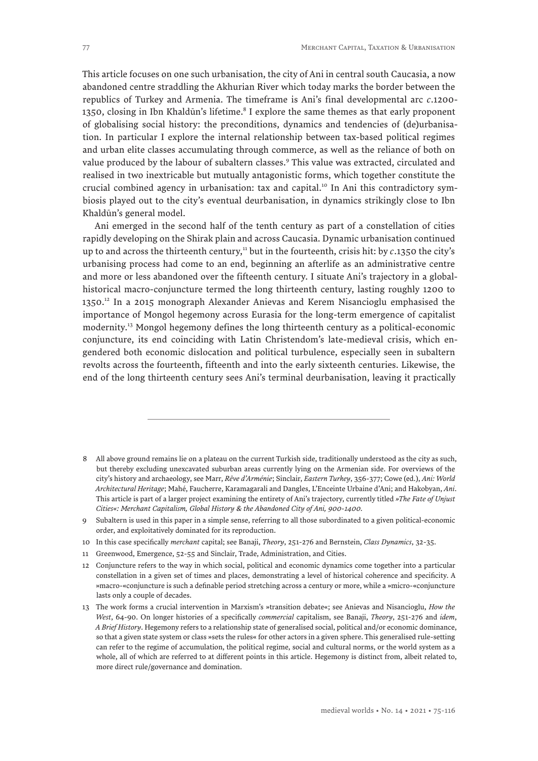This article focuses on one such urbanisation, the city of Ani in central south Caucasia, a now abandoned centre straddling the Akhurian River which today marks the border between the republics of Turkey and Armenia. The timeframe is Ani's final developmental arc *c*.1200- 1350, closing in Ibn Khaldūn's lifetime.<sup>8</sup> I explore the same themes as that early proponent of globalising social history: the preconditions, dynamics and tendencies of (de)urbanisation. In particular I explore the internal relationship between tax-based political regimes and urban elite classes accumulating through commerce, as well as the reliance of both on value produced by the labour of subaltern classes.<sup>9</sup> This value was extracted, circulated and realised in two inextricable but mutually antagonistic forms, which together constitute the crucial combined agency in urbanisation: tax and capital.<sup>10</sup> In Ani this contradictory symbiosis played out to the city's eventual deurbanisation, in dynamics strikingly close to Ibn Khaldūn's general model.

Ani emerged in the second half of the tenth century as part of a constellation of cities rapidly developing on the Shirak plain and across Caucasia. Dynamic urbanisation continued up to and across the thirteenth century,<sup>11</sup> but in the fourteenth, crisis hit: by  $c$ .1350 the city's urbanising process had come to an end, beginning an afterlife as an administrative centre and more or less abandoned over the fifteenth century. I situate Ani's trajectory in a globalhistorical macro-conjuncture termed the long thirteenth century, lasting roughly 1200 to 1350.<sup>12</sup> In a 2015 monograph Alexander Anievas and Kerem Nisancioglu emphasised the importance of Mongol hegemony across Eurasia for the long-term emergence of capitalist modernity.13 Mongol hegemony defines the long thirteenth century as a political-economic conjuncture, its end coinciding with Latin Christendom's late-medieval crisis, which engendered both economic dislocation and political turbulence, especially seen in subaltern revolts across the fourteenth, fifteenth and into the early sixteenth centuries. Likewise, the end of the long thirteenth century sees Ani's terminal deurbanisation, leaving it practically

- 8 All above ground remains lie on a plateau on the current Turkish side, traditionally understood as the city as such, but thereby excluding unexcavated suburban areas currently lying on the Armenian side. For overviews of the city's history and archaeology, see Marr, *Rêve d'Arménie*; Sinclair, *Eastern Turkey*, 356-377; Cowe (ed.), *Ani: World Architectural Heritage*; Mahé, Faucherre, Karamagarali and Dangles, L'Enceinte Urbaine d'Ani; and Hakobyan, *Ani*. This article is part of a larger project examining the entirety of Ani's trajectory, currently titled *»The Fate of Unjust Cities«: Merchant Capitalism, Global History & the Abandoned City of Ani, 900-1400.*
- 9 Subaltern is used in this paper in a simple sense, referring to all those subordinated to a given political-economic order, and exploitatively dominated for its reproduction.
- 10 In this case specifically *merchant* capital; see Banaji, *Theory*, 251-276 and Bernstein, *Class Dynamics*, 32-35.
- 11 Greenwood, Emergence, 52-55 and Sinclair, Trade, Administration, and Cities.
- 12 Conjuncture refers to the way in which social, political and economic dynamics come together into a particular constellation in a given set of times and places, demonstrating a level of historical coherence and specificity. A »macro-«conjuncture is such a definable period stretching across a century or more, while a »micro-«conjuncture lasts only a couple of decades.
- 13 The work forms a crucial intervention in Marxism's »transition debate«; see Anievas and Nisancioglu, *How the West*, 64-90. On longer histories of a specifically *commercial* capitalism, see Banaji, *Theory*, 251-276 and *idem*, *A Brief History*. Hegemony refers to a relationship state of generalised social, political and/or economic dominance, so that a given state system or class »sets the rules« for other actors in a given sphere. This generalised rule-setting can refer to the regime of accumulation, the political regime, social and cultural norms, or the world system as a whole, all of which are referred to at different points in this article. Hegemony is distinct from, albeit related to, more direct rule/governance and domination.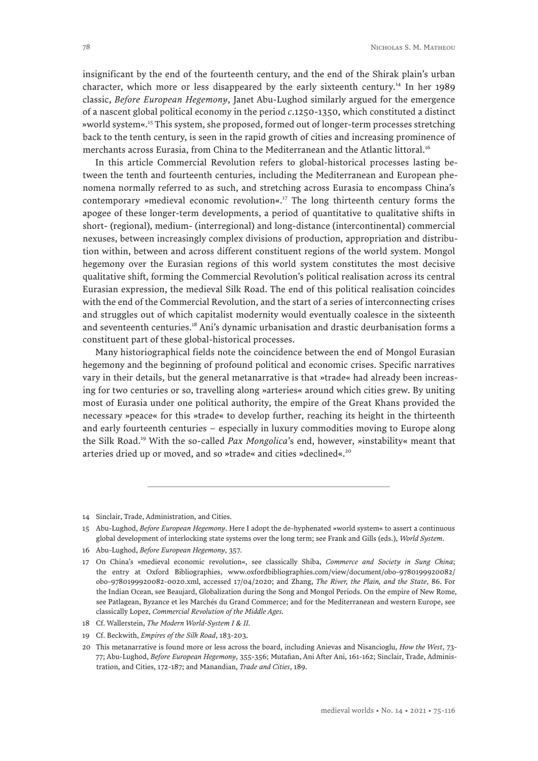insignificant by the end of the fourteenth century, and the end of the Shirak plain's urban character, which more or less disappeared by the early sixteenth century.<sup>14</sup> In her 1989 classic, *Before European Hegemony*, Janet Abu-Lughod similarly argued for the emergence of a nascent global political economy in the period *c*.1250-1350, which constituted a distinct »world system«.15 This system, she proposed, formed out of longer-term processes stretching back to the tenth century, is seen in the rapid growth of cities and increasing prominence of merchants across Eurasia, from China to the Mediterranean and the Atlantic littoral.<sup>16</sup>

In this article Commercial Revolution refers to global-historical processes lasting between the tenth and fourteenth centuries, including the Mediterranean and European phenomena normally referred to as such, and stretching across Eurasia to encompass China's contemporary »medieval economic revolution«.17 The long thirteenth century forms the apogee of these longer-term developments, a period of quantitative to qualitative shifts in short- (regional), medium- (interregional) and long-distance (intercontinental) commercial nexuses, between increasingly complex divisions of production, appropriation and distribution within, between and across different constituent regions of the world system. Mongol hegemony over the Eurasian regions of this world system constitutes the most decisive qualitative shift, forming the Commercial Revolution's political realisation across its central Eurasian expression, the medieval Silk Road. The end of this political realisation coincides with the end of the Commercial Revolution, and the start of a series of interconnecting crises and struggles out of which capitalist modernity would eventually coalesce in the sixteenth and seventeenth centuries.18 Ani's dynamic urbanisation and drastic deurbanisation forms a constituent part of these global-historical processes.

Many historiographical fields note the coincidence between the end of Mongol Eurasian hegemony and the beginning of profound political and economic crises. Specific narratives vary in their details, but the general metanarrative is that »trade« had already been increasing for two centuries or so, travelling along »arteries« around which cities grew. By uniting most of Eurasia under one political authority, the empire of the Great Khans provided the necessary »peace« for this »trade« to develop further, reaching its height in the thirteenth and early fourteenth centuries – especially in luxury commodities moving to Europe along the Silk Road.19 With the so-called *Pax Mongolica*'s end, however, »instability« meant that arteries dried up or moved, and so »trade« and cities »declined«.<sup>20</sup>

19 Cf. Beckwith, *Empires of the Silk Road*, 183-203.

<sup>14</sup> Sinclair, Trade, Administration, and Cities.

<sup>15</sup> Abu-Lughod, *Before European Hegemony*. Here I adopt the de-hyphenated »world system« to assert a continuous global development of interlocking state systems over the long term; see Frank and Gills (eds.), *World System*.

<sup>16</sup> Abu-Lughod, *Before European Hegemony*, 357.

<sup>17</sup> On China's »medieval economic revolution«, see classically Shiba, *Commerce and Society in Sung China*; the entry at Oxford Bibliographies, [www.oxfordbibliographies.com/view/document/obo-9780199920082/](http://www.oxfordbibliographies.com/view/document/obo-9780199920082/obo-9780199920082-0020.xml) [obo-9780199920082-0020.xml](http://www.oxfordbibliographies.com/view/document/obo-9780199920082/obo-9780199920082-0020.xml), accessed 17/04/2020; and Zhang, *The River, the Plain, and the State*, 86. For the Indian Ocean, see Beaujard, Globalization during the Song and Mongol Periods. On the empire of New Rome, see Patlagean, Byzance et les Marchés du Grand Commerce; and for the Mediterranean and western Europe, see classically Lopez, *Commercial Revolution of the Middle Ages.*

<sup>18</sup> Cf. Wallerstein, *The Modern World-System I & II.*

<sup>20</sup> This metanarrative is found more or less across the board, including Anievas and Nisancioglu, *How the West*, 73- 77; Abu-Lughod, *Before European Hegemony*, 355-356; Mutafian, Ani After Ani, 161-162; Sinclair, Trade, Administration, and Cities, 172-187; and Manandian, *Trade and Cities*, 189.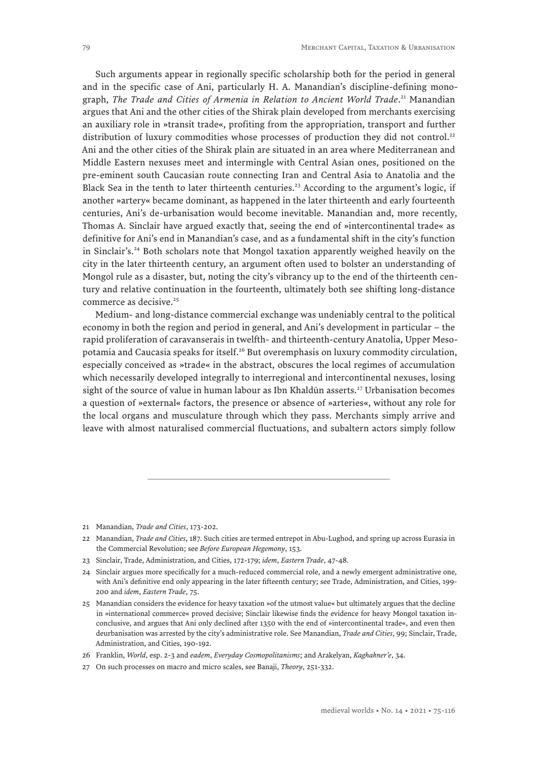Such arguments appear in regionally specific scholarship both for the period in general and in the specific case of Ani, particularly H. A. Manandian's discipline-defining monograph, *The Trade and Cities of Armenia in Relation to Ancient World Trade*. 21 Manandian argues that Ani and the other cities of the Shirak plain developed from merchants exercising an auxiliary role in »transit trade«, profiting from the appropriation, transport and further distribution of luxury commodities whose processes of production they did not control.<sup>22</sup> Ani and the other cities of the Shirak plain are situated in an area where Mediterranean and Middle Eastern nexuses meet and intermingle with Central Asian ones, positioned on the pre-eminent south Caucasian route connecting Iran and Central Asia to Anatolia and the Black Sea in the tenth to later thirteenth centuries.<sup>23</sup> According to the argument's logic, if another »artery« became dominant, as happened in the later thirteenth and early fourteenth centuries, Ani's de-urbanisation would become inevitable. Manandian and, more recently, Thomas A. Sinclair have argued exactly that, seeing the end of »intercontinental trade« as definitive for Ani's end in Manandian's case, and as a fundamental shift in the city's function in Sinclair's.<sup>24</sup> Both scholars note that Mongol taxation apparently weighed heavily on the city in the later thirteenth century, an argument often used to bolster an understanding of Mongol rule as a disaster, but, noting the city's vibrancy up to the end of the thirteenth century and relative continuation in the fourteenth, ultimately both see shifting long-distance commerce as decisive.<sup>25</sup>

Medium- and long-distance commercial exchange was undeniably central to the political economy in both the region and period in general, and Ani's development in particular – the rapid proliferation of caravanserais in twelfth- and thirteenth-century Anatolia, Upper Mesopotamia and Caucasia speaks for itself.<sup>26</sup> But overemphasis on luxury commodity circulation, especially conceived as »trade« in the abstract, obscures the local regimes of accumulation which necessarily developed integrally to interregional and intercontinental nexuses, losing sight of the source of value in human labour as Ibn Khaldūn asserts.<sup>27</sup> Urbanisation becomes a question of »external« factors, the presence or absence of »arteries«, without any role for the local organs and musculature through which they pass. Merchants simply arrive and leave with almost naturalised commercial fluctuations, and subaltern actors simply follow

<sup>21</sup> Manandian, *Trade and Cities*, 173-202.

<sup>22</sup> Manandian, *Trade and Cities*, 187. Such cities are termed entrepot in Abu-Lughod, and spring up across Eurasia in the Commercial Revolution; see *Before European Hegemony*, 153.

<sup>23</sup> Sinclair, Trade, Administration, and Cities, 172-179; *idem*, *Eastern Trade*, 47-48.

<sup>24</sup> Sinclair argues more specifically for a much-reduced commercial role, and a newly emergent administrative one, with Ani's definitive end only appearing in the later fifteenth century; see Trade, Administration, and Cities, 199- 200 and *idem*, *Eastern Trade*, 75.

<sup>25</sup> Manandian considers the evidence for heavy taxation »of the utmost value« but ultimately argues that the decline in »international commerce« proved decisive; Sinclair likewise finds the evidence for heavy Mongol taxation inconclusive, and argues that Ani only declined after 1350 with the end of »intercontinental trade«, and even then deurbanisation was arrested by the city's administrative role. See Manandian, *Trade and Cities*, 99; Sinclair, Trade, Administration, and Cities, 190-192.

<sup>26</sup> Franklin, *World*, esp. 2-3 and *eadem*, *Everyday Cosmopolitanisms*; and Arakelyan, *Kaghakner'e*, 34.

<sup>27</sup> On such processes on macro and micro scales, see Banaji, *Theory*, 251-332.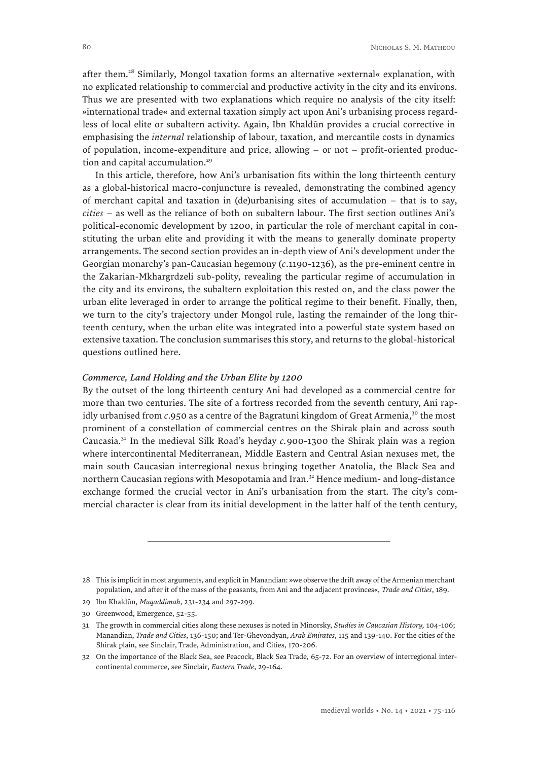after them.<sup>28</sup> Similarly, Mongol taxation forms an alternative »external« explanation, with no explicated relationship to commercial and productive activity in the city and its environs. Thus we are presented with two explanations which require no analysis of the city itself: »international trade« and external taxation simply act upon Ani's urbanising process regardless of local elite or subaltern activity. Again, Ibn Khaldūn provides a crucial corrective in emphasising the *internal* relationship of labour, taxation, and mercantile costs in dynamics of population, income-expenditure and price, allowing – or not – profit-oriented production and capital accumulation.<sup>29</sup>

In this article, therefore, how Ani's urbanisation fits within the long thirteenth century as a global-historical macro-conjuncture is revealed, demonstrating the combined agency of merchant capital and taxation in (de)urbanising sites of accumulation – that is to say, *cities* – as well as the reliance of both on subaltern labour. The first section outlines Ani's political-economic development by 1200, in particular the role of merchant capital in constituting the urban elite and providing it with the means to generally dominate property arrangements. The second section provides an in-depth view of Ani's development under the Georgian monarchy's pan-Caucasian hegemony (*c*.1190-1236), as the pre-eminent centre in the Zakarian-Mkhargrdzeli sub-polity, revealing the particular regime of accumulation in the city and its environs, the subaltern exploitation this rested on, and the class power the urban elite leveraged in order to arrange the political regime to their benefit. Finally, then, we turn to the city's trajectory under Mongol rule, lasting the remainder of the long thirteenth century, when the urban elite was integrated into a powerful state system based on extensive taxation. The conclusion summarises this story, and returns to the global-historical questions outlined here.

#### *Commerce, Land Holding and the Urban Elite by 1200*

By the outset of the long thirteenth century Ani had developed as a commercial centre for more than two centuries. The site of a fortress recorded from the seventh century, Ani rapidly urbanised from *c*.950 as a centre of the Bagratuni kingdom of Great Armenia,<sup>30</sup> the most prominent of a constellation of commercial centres on the Shirak plain and across south Caucasia.31 In the medieval Silk Road's heyday *c.*900-1300 the Shirak plain was a region where intercontinental Mediterranean, Middle Eastern and Central Asian nexuses met, the main south Caucasian interregional nexus bringing together Anatolia, the Black Sea and northern Caucasian regions with Mesopotamia and Iran.<sup>32</sup> Hence medium- and long-distance exchange formed the crucial vector in Ani's urbanisation from the start. The city's commercial character is clear from its initial development in the latter half of the tenth century,

<sup>28</sup> This is implicit in most arguments, and explicit in Manandian: »we observe the drift away of the Armenian merchant population, and after it of the mass of the peasants, from Ani and the adjacent provinces«, *Trade and Cities*, 189.

<sup>29</sup> Ibn Khaldūn, *Muqaddimah*, 231-234 and 297-299.

<sup>30</sup> Greenwood, Emergence, 52-55.

<sup>31</sup> The growth in commercial cities along these nexuses is noted in Minorsky, *Studies in Caucasian History,* 104-106; Manandian, *Trade and Cities*, 136-150; and Ter-Ghevondyan, *Arab Emirates*, 115 and 139-140. For the cities of the Shirak plain, see Sinclair, Trade, Administration, and Cities, 170-206.

<sup>32</sup> On the importance of the Black Sea, see Peacock, Black Sea Trade, 65-72. For an overview of interregional intercontinental commerce, see Sinclair, *Eastern Trade*, 29-164.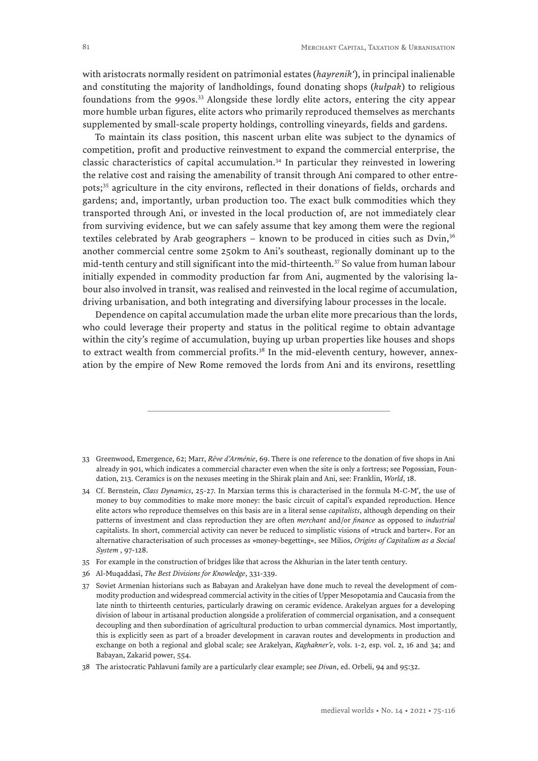with aristocrats normally resident on patrimonial estates (*hayrenik'*), in principal inalienable and constituting the majority of landholdings, found donating shops (*kułpak*) to religious foundations from the 990s.33 Alongside these lordly elite actors, entering the city appear more humble urban figures, elite actors who primarily reproduced themselves as merchants supplemented by small-scale property holdings, controlling vineyards, fields and gardens.

To maintain its class position, this nascent urban elite was subject to the dynamics of competition, profit and productive reinvestment to expand the commercial enterprise, the classic characteristics of capital accumulation.34 In particular they reinvested in lowering the relative cost and raising the amenability of transit through Ani compared to other entrepots;<sup>35</sup> agriculture in the city environs, reflected in their donations of fields, orchards and gardens; and, importantly, urban production too. The exact bulk commodities which they transported through Ani, or invested in the local production of, are not immediately clear from surviving evidence, but we can safely assume that key among them were the regional textiles celebrated by Arab geographers – known to be produced in cities such as Dvin, $3<sup>6</sup>$ another commercial centre some 250km to Ani's southeast, regionally dominant up to the mid-tenth century and still significant into the mid-thirteenth.37 So value from human labour initially expended in commodity production far from Ani, augmented by the valorising labour also involved in transit, was realised and reinvested in the local regime of accumulation, driving urbanisation, and both integrating and diversifying labour processes in the locale.

Dependence on capital accumulation made the urban elite more precarious than the lords, who could leverage their property and status in the political regime to obtain advantage within the city's regime of accumulation, buying up urban properties like houses and shops to extract wealth from commercial profits.<sup>38</sup> In the mid-eleventh century, however, annexation by the empire of New Rome removed the lords from Ani and its environs, resettling

- 33 Greenwood, Emergence, 62; Marr, *Rêve d'Arménie*, 69. There is one reference to the donation of five shops in Ani already in 901, which indicates a commercial character even when the site is only a fortress; see Pogossian, Foundation, 213. Ceramics is on the nexuses meeting in the Shirak plain and Ani, see: Franklin, *World*, 18.
- 34 Cf. Bernstein, *Class Dynamics*, 25-27. In Marxian terms this is characterised in the formula M-C-M′, the use of money to buy commodities to make more money: the basic circuit of capital's expanded reproduction. Hence elite actors who reproduce themselves on this basis are in a literal sense *capitalists*, although depending on their patterns of investment and class reproduction they are often *merchant* and/or *finance* as opposed to *industrial* capitalists. In short, commercial activity can never be reduced to simplistic visions of »truck and barter«. For an alternative characterisation of such processes as »money-begetting«, see Milios, *Origins of Capitalism as a Social System* , 97-128.
- 35 For example in the construction of bridges like that across the Akhurian in the later tenth century.
- 36 Al-Muqaddasī, *The Best Divisions for Knowledge*, 331-339.
- 37 Soviet Armenian historians such as Babayan and Arakelyan have done much to reveal the development of commodity production and widespread commercial activity in the cities of Upper Mesopotamia and Caucasia from the late ninth to thirteenth centuries, particularly drawing on ceramic evidence. Arakelyan argues for a developing division of labour in artisanal production alongside a proliferation of commercial organisation, and a consequent decoupling and then subordination of agricultural production to urban commercial dynamics. Most importantly, this is explicitly seen as part of a broader development in caravan routes and developments in production and exchange on both a regional and global scale; see Arakelyan, *Kaghakner'e*, vols. 1-2, esp. vol. 2, 16 and 34; and Babayan, Zakarid power, 554.
- 38 The aristocratic Pahlavuni family are a particularly clear example; see *Divan*, ed. Orbeli, 94 and 95:32.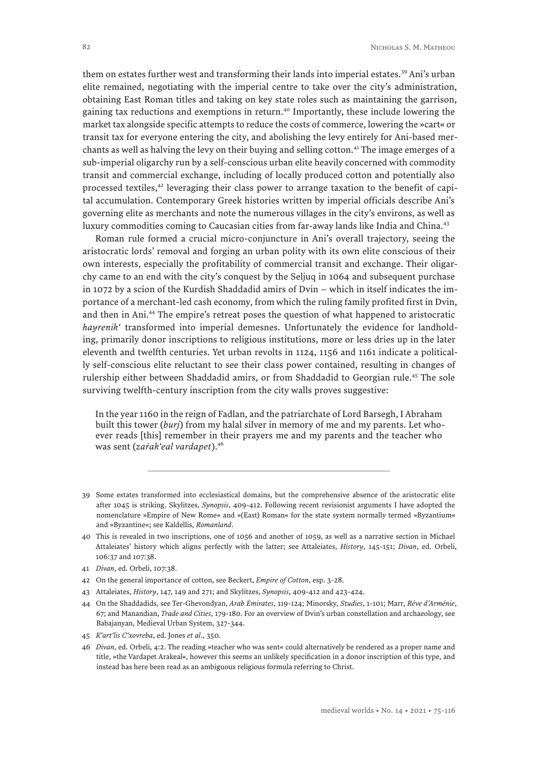them on estates further west and transforming their lands into imperial estates.<sup>39</sup> Ani's urban elite remained, negotiating with the imperial centre to take over the city's administration, obtaining East Roman titles and taking on key state roles such as maintaining the garrison, gaining tax reductions and exemptions in return.<sup>40</sup> Importantly, these include lowering the market tax alongside specific attempts to reduce the costs of commerce, lowering the »cart« or transit tax for everyone entering the city, and abolishing the levy entirely for Ani-based merchants as well as halving the levy on their buying and selling cotton.<sup>41</sup> The image emerges of a sub-imperial oligarchy run by a self-conscious urban elite heavily concerned with commodity transit and commercial exchange, including of locally produced cotton and potentially also processed textiles,<sup>42</sup> leveraging their class power to arrange taxation to the benefit of capital accumulation. Contemporary Greek histories written by imperial officials describe Ani's governing elite as merchants and note the numerous villages in the city's environs, as well as luxury commodities coming to Caucasian cities from far-away lands like India and China.<sup>43</sup>

Roman rule formed a crucial micro-conjuncture in Ani's overall trajectory, seeing the aristocratic lords' removal and forging an urban polity with its own elite conscious of their own interests, especially the profitability of commercial transit and exchange. Their oligarchy came to an end with the city's conquest by the Seljuq in 1064 and subsequent purchase in 1072 by a scion of the Kurdish Shaddadid amirs of Dvin – which in itself indicates the importance of a merchant-led cash economy, from which the ruling family profited first in Dvin, and then in Ani.44 The empire's retreat poses the question of what happened to aristocratic *hayrenik'* transformed into imperial demesnes. Unfortunately the evidence for landholding, primarily donor inscriptions to religious institutions, more or less dries up in the later eleventh and twelfth centuries. Yet urban revolts in 1124, 1156 and 1161 indicate a politically self-conscious elite reluctant to see their class power contained, resulting in changes of rulership either between Shaddadid amirs, or from Shaddadid to Georgian rule.45 The sole surviving twelfth-century inscription from the city walls proves suggestive:

In the year 1160 in the reign of Fadlan, and the patriarchate of Lord Barsegh, I Abraham built this tower (*burj*) from my halal silver in memory of me and my parents. Let whoever reads [this] remember in their prayers me and my parents and the teacher who was sent (*zaṙak'eal vardapet*).46

- 43 Attaleiates, *History*, 147, 149 and 271; and Skylitzes, *Synopsis*, 409-412 and 423-424.
- 44 On the Shaddadids, see Ter-Ghevondyan, *Arab Emirates*, 119-124; Minorsky, *Studies*, 1-101; Marr, *Rêve d'Arménie*, 67; and Manandian, *Trade and Cities*, 179-180. For an overview of Dvin's urban constellation and archaeology, see Babajanyan, Medieval Urban System, 327-344.
- 45 *K'art'lis C'xovreba*, ed. Jones *et al*., 350.

<sup>39</sup> Some estates transformed into ecclesiastical domains, but the comprehensive absence of the aristocratic elite after 1045 is striking. Skylitzes, *Synopsis*, 409-412. Following recent revisionist arguments I have adopted the nomenclature »Empire of New Rome« and »(East) Roman« for the state system normally termed »Byzantium« and »Byzantine«; see Kaldellis, *Romanland*.

<sup>40</sup> This is revealed in two inscriptions, one of 1056 and another of 1059, as well as a narrative section in Michael Attaleiates' history which aligns perfectly with the latter; see Attaleiates, *History*, 145-151; *Divan*, ed. Orbeli, 106:37 and 107:38.

<sup>41</sup> *Divan*, ed. Orbeli, 107:38.

<sup>42</sup> On the general importance of cotton, see Beckert, *Empire of Cotton*, esp. 3-28.

<sup>46</sup> *Divan*, ed. Orbeli, 4:2. The reading »teacher who was sent« could alternatively be rendered as a proper name and title, »the Vardapet Arakeal«, however this seems an unlikely specification in a donor inscription of this type, and instead has here been read as an ambiguous religious formula referring to Christ.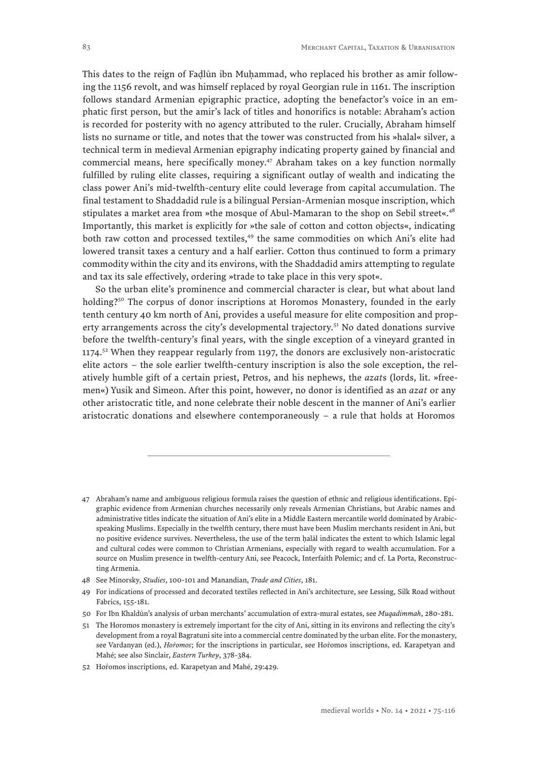This dates to the reign of Fadlūn ibn Muhammad, who replaced his brother as amir following the 1156 revolt, and was himself replaced by royal Georgian rule in 1161. The inscription follows standard Armenian epigraphic practice, adopting the benefactor's voice in an emphatic first person, but the amir's lack of titles and honorifics is notable: Abraham's action is recorded for posterity with no agency attributed to the ruler. Crucially, Abraham himself lists no surname or title, and notes that the tower was constructed from his »halal« silver, a technical term in medieval Armenian epigraphy indicating property gained by financial and commercial means, here specifically money.<sup>47</sup> Abraham takes on a key function normally fulfilled by ruling elite classes, requiring a significant outlay of wealth and indicating the class power Ani's mid-twelfth-century elite could leverage from capital accumulation. The final testament to Shaddadid rule is a bilingual Persian-Armenian mosque inscription, which stipulates a market area from »the mosque of Abul-Mamaran to the shop on Sebil street«.<sup>48</sup> Importantly, this market is explicitly for »the sale of cotton and cotton objects«, indicating both raw cotton and processed textiles,<sup>49</sup> the same commodities on which Ani's elite had lowered transit taxes a century and a half earlier. Cotton thus continued to form a primary commodity within the city and its environs, with the Shaddadid amirs attempting to regulate and tax its sale effectively, ordering »trade to take place in this very spot«.

So the urban elite's prominence and commercial character is clear, but what about land holding?<sup>50</sup> The corpus of donor inscriptions at Horomos Monastery, founded in the early tenth century 40 km north of Ani, provides a useful measure for elite composition and property arrangements across the city's developmental trajectory.<sup>51</sup> No dated donations survive before the twelfth-century's final years, with the single exception of a vineyard granted in  $1174<sup>52</sup>$  When they reappear regularly from 1197, the donors are exclusively non-aristocratic elite actors – the sole earlier twelfth-century inscription is also the sole exception, the relatively humble gift of a certain priest, Petros, and his nephews, the *azat*s (lords, lit. »freemen«) Yusik and Simeon. After this point, however, no donor is identified as an *azat* or any other aristocratic title, and none celebrate their noble descent in the manner of Ani's earlier aristocratic donations and elsewhere contemporaneously – a rule that holds at Horomos

50 For Ibn Khaldūn's analysis of urban merchants' accumulation of extra-mural estates, see *Muqadimmah*, 280-281.

<sup>47</sup> Abraham's name and ambiguous religious formula raises the question of ethnic and religious identifications. Epigraphic evidence from Armenian churches necessarily only reveals Armenian Christians, but Arabic names and administrative titles indicate the situation of Ani's elite in a Middle Eastern mercantile world dominated by Arabicspeaking Muslims. Especially in the twelfth century, there must have been Muslim merchants resident in Ani, but no positive evidence survives. Nevertheless, the use of the term halāl indicates the extent to which Islamic legal and cultural codes were common to Christian Armenians, especially with regard to wealth accumulation. For a source on Muslim presence in twelfth-century Ani, see Peacock, Interfaith Polemic; and cf. La Porta, Reconstructing Armenia.

<sup>48</sup> See Minorsky, *Studies*, 100-101 and Manandian, *Trade and Cities*, 181.

<sup>49</sup> For indications of processed and decorated textiles reflected in Ani's architecture, see Lessing, Silk Road without Fabrics, 155-181.

<sup>51</sup> The Horomos monastery is extremely important for the city of Ani, sitting in its environs and reflecting the city's development from a royal Bagratuni site into a commercial centre dominated by the urban elite. For the monastery, see Vardanyan (ed.), *Hoiomos*; for the inscriptions in particular, see Hoiomos inscriptions, ed. Karapetyan and Mahé; see also Sinclair, *Eastern Turkey*, 378-384.

<sup>52</sup> Horomos inscriptions, ed. Karapetyan and Mahé, 29:429.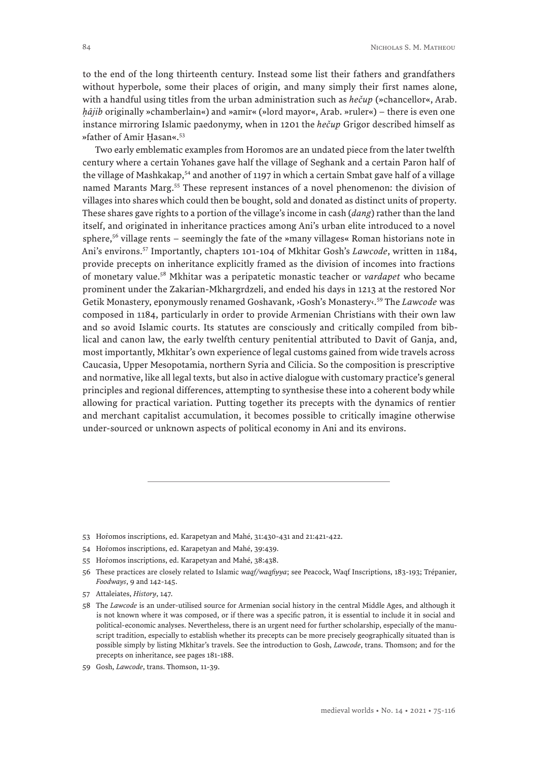to the end of the long thirteenth century. Instead some list their fathers and grandfathers without hyperbole, some their places of origin, and many simply their first names alone, with a handful using titles from the urban administration such as *hečup* (»chancellor«, Arab. *ḥājib* originally »chamberlain«) and »amir« (»lord mayor«, Arab. »ruler«) – there is even one instance mirroring Islamic paedonymy, when in 1201 the *hečup* Grigor described himself as »father of Amir Ḥasan«.53

Two early emblematic examples from Horomos are an undated piece from the later twelfth century where a certain Yohanes gave half the village of Seghank and a certain Paron half of the village of Mashkakap,<sup>54</sup> and another of 1197 in which a certain Smbat gave half of a village named Marants Marg.55 These represent instances of a novel phenomenon: the division of villages into shares which could then be bought, sold and donated as distinct units of property. These shares gave rights to a portion of the village's income in cash (*dang*) rather than the land itself, and originated in inheritance practices among Ani's urban elite introduced to a novel sphere,<sup>56</sup> village rents – seemingly the fate of the »many villages« Roman historians note in Ani's environs.57 Importantly, chapters 101-104 of Mkhitar Gosh's *Lawcode*, written in 1184, provide precepts on inheritance explicitly framed as the division of incomes into fractions of monetary value.58 Mkhitar was a peripatetic monastic teacher or *vardapet* who became prominent under the Zakarian-Mkhargrdzeli, and ended his days in 1213 at the restored Nor Getik Monastery, eponymously renamed Goshavank, ›Gosh's Monastery‹.59 The *Lawcode* was composed in 1184, particularly in order to provide Armenian Christians with their own law and so avoid Islamic courts. Its statutes are consciously and critically compiled from biblical and canon law, the early twelfth century penitential attributed to Davit of Ganja, and, most importantly, Mkhitar's own experience of legal customs gained from wide travels across Caucasia, Upper Mesopotamia, northern Syria and Cilicia. So the composition is prescriptive and normative, like all legal texts, but also in active dialogue with customary practice's general principles and regional differences, attempting to synthesise these into a coherent body while allowing for practical variation. Putting together its precepts with the dynamics of rentier and merchant capitalist accumulation, it becomes possible to critically imagine otherwise under-sourced or unknown aspects of political economy in Ani and its environs.

<sup>53</sup> Horomos inscriptions, ed. Karapetyan and Mahé, 31:430-431 and 21:421-422.

<sup>54</sup> Horomos inscriptions, ed. Karapetyan and Mahé, 39:439.

<sup>55</sup> Hoṙomos inscriptions, ed. Karapetyan and Mahé, 38:438.

<sup>56</sup> These practices are closely related to Islamic *waqf/waqfiyya*; see Peacock, Waqf Inscriptions, 183-193; Trépanier, *Foodways*, 9 and 142-145.

<sup>57</sup> Attaleiates, *History*, 147.

<sup>58</sup> The *Lawcode* is an under-utilised source for Armenian social history in the central Middle Ages, and although it is not known where it was composed, or if there was a specific patron, it is essential to include it in social and political-economic analyses. Nevertheless, there is an urgent need for further scholarship, especially of the manuscript tradition, especially to establish whether its precepts can be more precisely geographically situated than is possible simply by listing Mkhitar's travels. See the introduction to Gosh, *Lawcode*, trans. Thomson; and for the precepts on inheritance, see pages 181-188.

<sup>59</sup> Gosh, *Lawcode*, trans. Thomson, 11-39.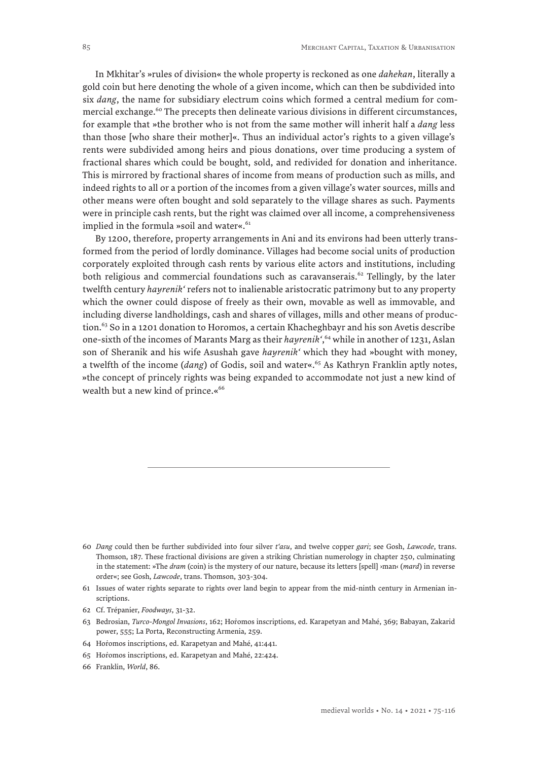In Mkhitar's »rules of division« the whole property is reckoned as one *dahekan*, literally a gold coin but here denoting the whole of a given income, which can then be subdivided into six *dang*, the name for subsidiary electrum coins which formed a central medium for commercial exchange.<sup>60</sup> The precepts then delineate various divisions in different circumstances, for example that »the brother who is not from the same mother will inherit half a *dang* less than those [who share their mother]«. Thus an individual actor's rights to a given village's rents were subdivided among heirs and pious donations, over time producing a system of fractional shares which could be bought, sold, and redivided for donation and inheritance. This is mirrored by fractional shares of income from means of production such as mills, and indeed rights to all or a portion of the incomes from a given village's water sources, mills and other means were often bought and sold separately to the village shares as such. Payments were in principle cash rents, but the right was claimed over all income, a comprehensiveness implied in the formula »soil and water«.<sup>61</sup>

By 1200, therefore, property arrangements in Ani and its environs had been utterly transformed from the period of lordly dominance. Villages had become social units of production corporately exploited through cash rents by various elite actors and institutions, including both religious and commercial foundations such as caravanserais.<sup>62</sup> Tellingly, by the later twelfth century *hayrenik'* refers not to inalienable aristocratic patrimony but to any property which the owner could dispose of freely as their own, movable as well as immovable, and including diverse landholdings, cash and shares of villages, mills and other means of production.<sup>63</sup> So in a 1201 donation to Horomos, a certain Khacheghbayr and his son Avetis describe one-sixth of the incomes of Marants Marg as their *hayrenik'*, 64 while in another of 1231, Aslan son of Sheranik and his wife Asushah gave *hayrenik'* which they had »bought with money, a twelfth of the income (*dang*) of Godis, soil and water«.<sup>65</sup> As Kathryn Franklin aptly notes, »the concept of princely rights was being expanded to accommodate not just a new kind of wealth but a new kind of prince.«<sup>66</sup>

- 64 Horomos inscriptions, ed. Karapetyan and Mahé, 41:441.
- 65 Horomos inscriptions, ed. Karapetyan and Mahé, 22:424.

<sup>60</sup> *Dang* could then be further subdivided into four silver *t'asu*, and twelve copper *gari*; see Gosh, *Lawcode*, trans. Thomson, 187. These fractional divisions are given a striking Christian numerology in chapter 250, culminating in the statement: »The *dram* (coin) is the mystery of our nature, because its letters [spell] ›man‹ (*mard*) in reverse order«; see Gosh, *Lawcode*, trans. Thomson, 303-304.

<sup>61</sup> Issues of water rights separate to rights over land begin to appear from the mid-ninth century in Armenian inscriptions.

<sup>62</sup> Cf. Trépanier, *Foodways*, 31-32.

<sup>63</sup> Bedrosian, *Turco-Mongol Invasions*, 162; Hoṙomos inscriptions, ed. Karapetyan and Mahé, 369; Babayan, Zakarid power, 555; La Porta, Reconstructing Armenia, 259.

<sup>66</sup> Franklin, *World*, 86.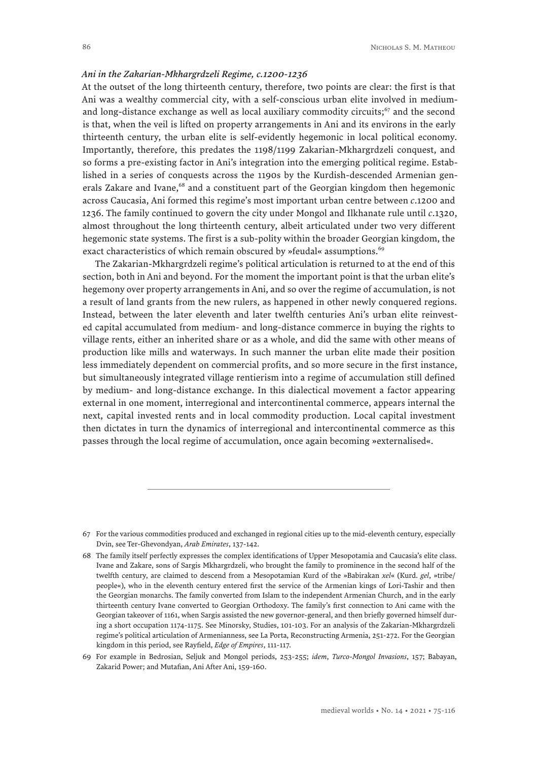#### *Ani in the Zakarian-Mkhargrdzeli Regime, c.1200-1236*

At the outset of the long thirteenth century, therefore, two points are clear: the first is that Ani was a wealthy commercial city, with a self-conscious urban elite involved in mediumand long-distance exchange as well as local auxiliary commodity circuits; $67$  and the second is that, when the veil is lifted on property arrangements in Ani and its environs in the early thirteenth century, the urban elite is self-evidently hegemonic in local political economy. Importantly, therefore, this predates the 1198/1199 Zakarian-Mkhargrdzeli conquest, and so forms a pre-existing factor in Ani's integration into the emerging political regime. Established in a series of conquests across the 1190s by the Kurdish-descended Armenian generals Zakare and Ivane,<sup>68</sup> and a constituent part of the Georgian kingdom then hegemonic across Caucasia, Ani formed this regime's most important urban centre between *c*.1200 and 1236. The family continued to govern the city under Mongol and Ilkhanate rule until *c*.1320, almost throughout the long thirteenth century, albeit articulated under two very different hegemonic state systems. The first is a sub-polity within the broader Georgian kingdom, the exact characteristics of which remain obscured by »feudal« assumptions.<sup>69</sup>

The Zakarian-Mkhargrdzeli regime's political articulation is returned to at the end of this section, both in Ani and beyond. For the moment the important point is that the urban elite's hegemony over property arrangements in Ani, and so over the regime of accumulation, is not a result of land grants from the new rulers, as happened in other newly conquered regions. Instead, between the later eleventh and later twelfth centuries Ani's urban elite reinvested capital accumulated from medium- and long-distance commerce in buying the rights to village rents, either an inherited share or as a whole, and did the same with other means of production like mills and waterways. In such manner the urban elite made their position less immediately dependent on commercial profits, and so more secure in the first instance, but simultaneously integrated village rentierism into a regime of accumulation still defined by medium- and long-distance exchange. In this dialectical movement a factor appearing external in one moment, interregional and intercontinental commerce, appears internal the next, capital invested rents and in local commodity production. Local capital investment then dictates in turn the dynamics of interregional and intercontinental commerce as this passes through the local regime of accumulation, once again becoming »externalised«.

<sup>67</sup> For the various commodities produced and exchanged in regional cities up to the mid-eleventh century, especially Dvin, see Ter-Ghevondyan, *Arab Emirates*, 137-142.

<sup>68</sup> The family itself perfectly expresses the complex identifications of Upper Mesopotamia and Caucasia's elite class. Ivane and Zakare, sons of Sargis Mkhargrdzeli, who brought the family to prominence in the second half of the twelfth century, are claimed to descend from a Mesopotamian Kurd of the »Babirakan *xel*« (Kurd. *gel*, »tribe/ people«), who in the eleventh century entered first the service of the Armenian kings of Lori-Tashir and then the Georgian monarchs. The family converted from Islam to the independent Armenian Church, and in the early thirteenth century Ivane converted to Georgian Orthodoxy. The family's first connection to Ani came with the Georgian takeover of 1161, when Sargis assisted the new governor-general, and then briefly governed himself during a short occupation 1174-1175. See Minorsky, Studies, 101-103. For an analysis of the Zakarian-Mkhargrdzeli regime's political articulation of Armenianness, see La Porta, Reconstructing Armenia, 251-272. For the Georgian kingdom in this period, see Rayfield, *Edge of Empires*, 111-117.

<sup>69</sup> For example in Bedrosian, Seljuk and Mongol periods, 253-255; *idem*, *Turco-Mongol Invasions*, 157; Babayan, Zakarid Power; and Mutafian, Ani After Ani, 159-160.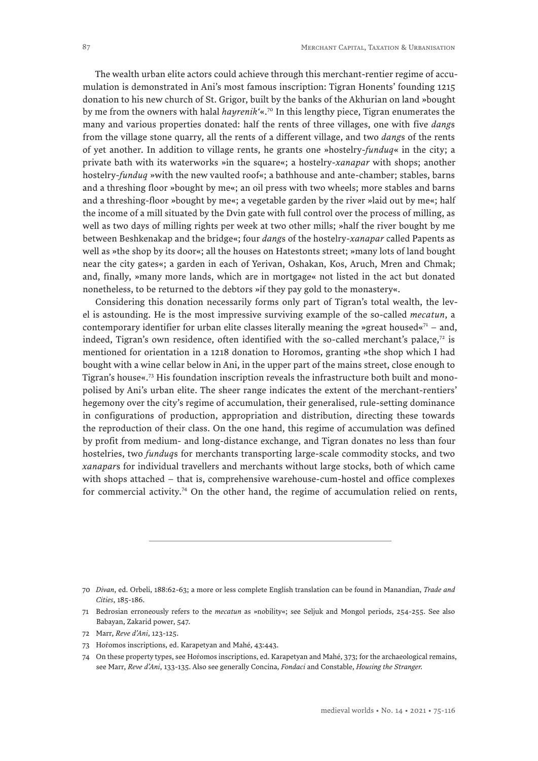The wealth urban elite actors could achieve through this merchant-rentier regime of accumulation is demonstrated in Ani's most famous inscription: Tigran Honents' founding 1215 donation to his new church of St. Grigor, built by the banks of the Akhurian on land »bought by me from the owners with halal *hayrenik'*«.70 In this lengthy piece, Tigran enumerates the many and various properties donated: half the rents of three villages, one with five *dang*s from the village stone quarry, all the rents of a different village, and two *dang*s of the rents of yet another. In addition to village rents, he grants one »hostelry-*funduq*« in the city; a private bath with its waterworks »in the square«; a hostelry-*xanapar* with shops; another hostelry-*funduq* »with the new vaulted roof«; a bathhouse and ante-chamber; stables, barns and a threshing floor »bought by me«; an oil press with two wheels; more stables and barns and a threshing-floor »bought by me«; a vegetable garden by the river »laid out by me«; half the income of a mill situated by the Dvin gate with full control over the process of milling, as well as two days of milling rights per week at two other mills; »half the river bought by me between Beshkenakap and the bridge«; four *dang*s of the hostelry-*xanapar* called Papents as well as »the shop by its door«; all the houses on Hatestonts street; »many lots of land bought near the city gates«; a garden in each of Yerivan, Oshakan, Kos, Aruch, Mren and Chmak; and, finally, »many more lands, which are in mortgage« not listed in the act but donated nonetheless, to be returned to the debtors »if they pay gold to the monastery«.

Considering this donation necessarily forms only part of Tigran's total wealth, the level is astounding. He is the most impressive surviving example of the so-called *mecatun*, a contemporary identifier for urban elite classes literally meaning the »great housed« $71 -$  and, indeed, Tigran's own residence, often identified with the so-called merchant's palace, $72$  is mentioned for orientation in a 1218 donation to Horomos, granting »the shop which I had bought with a wine cellar below in Ani, in the upper part of the mains street, close enough to Tigran's house«.73 His foundation inscription reveals the infrastructure both built and monopolised by Ani's urban elite. The sheer range indicates the extent of the merchant-rentiers' hegemony over the city's regime of accumulation, their generalised, rule-setting dominance in configurations of production, appropriation and distribution, directing these towards the reproduction of their class. On the one hand, this regime of accumulation was defined by profit from medium- and long-distance exchange, and Tigran donates no less than four hostelries, two *funduq*s for merchants transporting large-scale commodity stocks, and two *xanapar*s for individual travellers and merchants without large stocks, both of which came with shops attached – that is, comprehensive warehouse-cum-hostel and office complexes for commercial activity.<sup>74</sup> On the other hand, the regime of accumulation relied on rents,

73 Horomos inscriptions, ed. Karapetyan and Mahé, 43:443.

<sup>70</sup> *Divan*, ed. Orbeli, 188:62-63; a more or less complete English translation can be found in Manandian, *Trade and Cities*, 185-186.

<sup>71</sup> Bedrosian erroneously refers to the *mecatun* as »nobility«; see Seljuk and Mongol periods, 254-255. See also Babayan, Zakarid power, 547.

<sup>72</sup> Marr, *Reve d'Ani*, 123-125.

<sup>74</sup> On these property types, see Horomos inscriptions, ed. Karapetyan and Mahé, 373; for the archaeological remains, see Marr, *Reve d'Ani*, 133-135. Also see generally Concina, *Fondaci* and Constable, *Housing the Stranger.*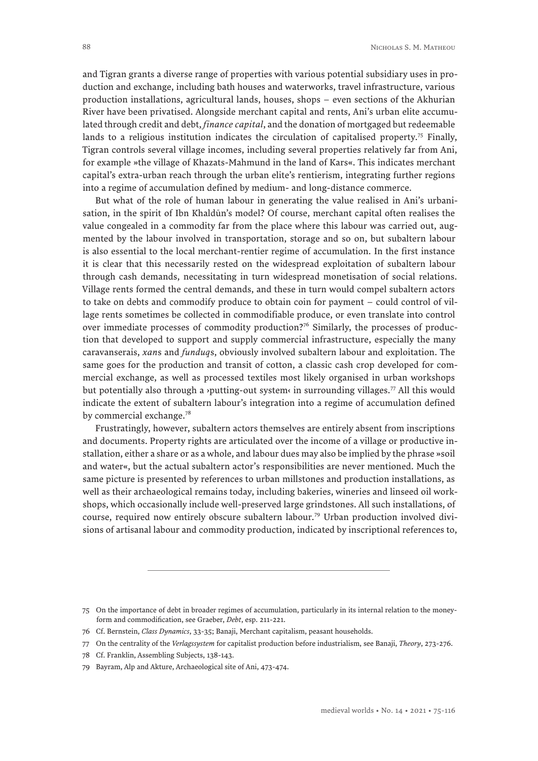and Tigran grants a diverse range of properties with various potential subsidiary uses in production and exchange, including bath houses and waterworks, travel infrastructure, various production installations, agricultural lands, houses, shops – even sections of the Akhurian River have been privatised. Alongside merchant capital and rents, Ani's urban elite accumulated through credit and debt, *finance capital*, and the donation of mortgaged but redeemable lands to a religious institution indicates the circulation of capitalised property.<sup>75</sup> Finally, Tigran controls several village incomes, including several properties relatively far from Ani, for example »the village of Khazats-Mahmund in the land of Kars«. This indicates merchant capital's extra-urban reach through the urban elite's rentierism, integrating further regions into a regime of accumulation defined by medium- and long-distance commerce.

But what of the role of human labour in generating the value realised in Ani's urbanisation, in the spirit of Ibn Khaldūn's model? Of course, merchant capital often realises the value congealed in a commodity far from the place where this labour was carried out, augmented by the labour involved in transportation, storage and so on, but subaltern labour is also essential to the local merchant-rentier regime of accumulation. In the first instance it is clear that this necessarily rested on the widespread exploitation of subaltern labour through cash demands, necessitating in turn widespread monetisation of social relations. Village rents formed the central demands, and these in turn would compel subaltern actors to take on debts and commodify produce to obtain coin for payment – could control of village rents sometimes be collected in commodifiable produce, or even translate into control over immediate processes of commodity production?76 Similarly, the processes of production that developed to support and supply commercial infrastructure, especially the many caravanserais, *xan*s and *funduq*s, obviously involved subaltern labour and exploitation. The same goes for the production and transit of cotton, a classic cash crop developed for commercial exchange, as well as processed textiles most likely organised in urban workshops but potentially also through a *y*putting-out system in surrounding villages.<sup>77</sup> All this would indicate the extent of subaltern labour's integration into a regime of accumulation defined by commercial exchange.<sup>78</sup>

Frustratingly, however, subaltern actors themselves are entirely absent from inscriptions and documents. Property rights are articulated over the income of a village or productive installation, either a share or as a whole, and labour dues may also be implied by the phrase »soil and water«, but the actual subaltern actorʹs responsibilities are never mentioned. Much the same picture is presented by references to urban millstones and production installations, as well as their archaeological remains today, including bakeries, wineries and linseed oil workshops, which occasionally include well-preserved large grindstones. All such installations, of course, required now entirely obscure subaltern labour.79 Urban production involved divisions of artisanal labour and commodity production, indicated by inscriptional references to,

<sup>75</sup> On the importance of debt in broader regimes of accumulation, particularly in its internal relation to the moneyform and commodification, see Graeber, *Debt*, esp. 211-221.

<sup>76</sup> Cf. Bernstein, *Class Dynamics*, 33-35; Banaji, Merchant capitalism, peasant households.

<sup>77</sup> On the centrality of the *Verlagssystem* for capitalist production before industrialism, see Banaji, *Theory*, 273-276.

<sup>78</sup> Cf. Franklin, Assembling Subjects, 138-143.

<sup>79</sup> Bayram, Alp and Akture, Archaeological site of Ani, 473-474.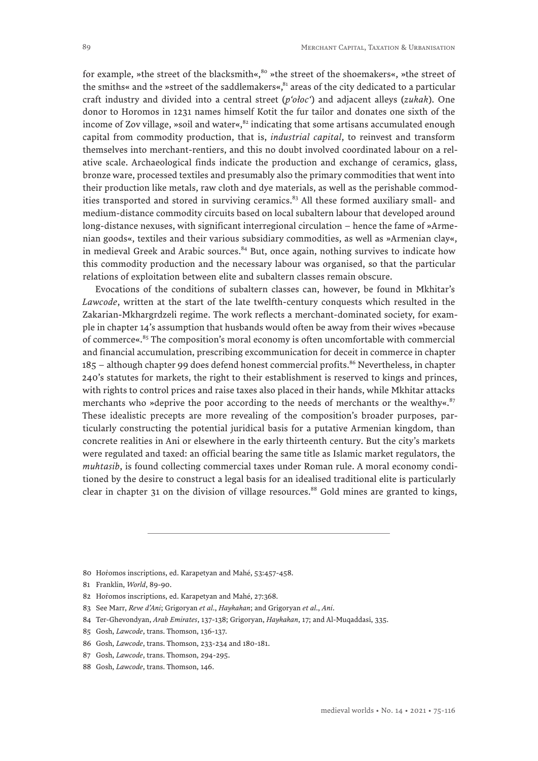for example, »the street of the blacksmith«,<sup>80</sup> »the street of the shoemakers«, »the street of the smiths« and the »street of the saddlemakers«, $81$  areas of the city dedicated to a particular craft industry and divided into a central street (*p'ołoc'*) and adjacent alleys (*zukak*). One donor to Horomos in 1231 names himself Kotit the fur tailor and donates one sixth of the income of Zov village, »soil and water«, $82$  indicating that some artisans accumulated enough capital from commodity production, that is, *industrial capital*, to reinvest and transform themselves into merchant-rentiers, and this no doubt involved coordinated labour on a relative scale. Archaeological finds indicate the production and exchange of ceramics, glass, bronze ware, processed textiles and presumably also the primary commodities that went into their production like metals, raw cloth and dye materials, as well as the perishable commodities transported and stored in surviving ceramics.<sup>83</sup> All these formed auxiliary small- and medium-distance commodity circuits based on local subaltern labour that developed around long-distance nexuses, with significant interregional circulation – hence the fame of »Armenian goods«, textiles and their various subsidiary commodities, as well as »Armenian clay«, in medieval Greek and Arabic sources. $84$  But, once again, nothing survives to indicate how this commodity production and the necessary labour was organised, so that the particular relations of exploitation between elite and subaltern classes remain obscure.

Evocations of the conditions of subaltern classes can, however, be found in Mkhitar's *Lawcode*, written at the start of the late twelfth-century conquests which resulted in the Zakarian-Mkhargrdzeli regime. The work reflects a merchant-dominated society, for example in chapter 14's assumption that husbands would often be away from their wives »because of commerce« $85$  The composition's moral economy is often uncomfortable with commercial and financial accumulation, prescribing excommunication for deceit in commerce in chapter  $185$  – although chapter 99 does defend honest commercial profits.<sup>86</sup> Nevertheless, in chapter 240's statutes for markets, the right to their establishment is reserved to kings and princes, with rights to control prices and raise taxes also placed in their hands, while Mkhitar attacks merchants who »deprive the poor according to the needs of merchants or the wealthy«. $87$ These idealistic precepts are more revealing of the composition's broader purposes, particularly constructing the potential juridical basis for a putative Armenian kingdom, than concrete realities in Ani or elsewhere in the early thirteenth century. But the city's markets were regulated and taxed: an official bearing the same title as Islamic market regulators, the *muhtasib*, is found collecting commercial taxes under Roman rule. A moral economy conditioned by the desire to construct a legal basis for an idealised traditional elite is particularly clear in chapter 31 on the division of village resources.<sup>88</sup> Gold mines are granted to kings,

- 85 Gosh, *Lawcode*, trans. Thomson, 136-137.
- 86 Gosh, *Lawcode*, trans. Thomson, 233-234 and 180-181.

<sup>80</sup> Hořomos inscriptions, ed. Karapetyan and Mahé, 53:457-458.

<sup>81</sup> Franklin, *World*, 89-90.

<sup>82</sup> Horomos inscriptions, ed. Karapetyan and Mahé, 27:368.

<sup>83</sup> See Marr, *Reve d'Ani*; Grigoryan *et al*., *Haykakan*; and Grigoryan *et al*., *Ani*.

<sup>84</sup> Ter-Ghevondyan, *Arab Emirates*, 137-138; Grigoryan, *Haykakan*, 17; and Al-Muqaddasī, 335.

<sup>87</sup> Gosh, *Lawcode*, trans. Thomson, 294-295.

<sup>88</sup> Gosh, *Lawcode*, trans. Thomson, 146.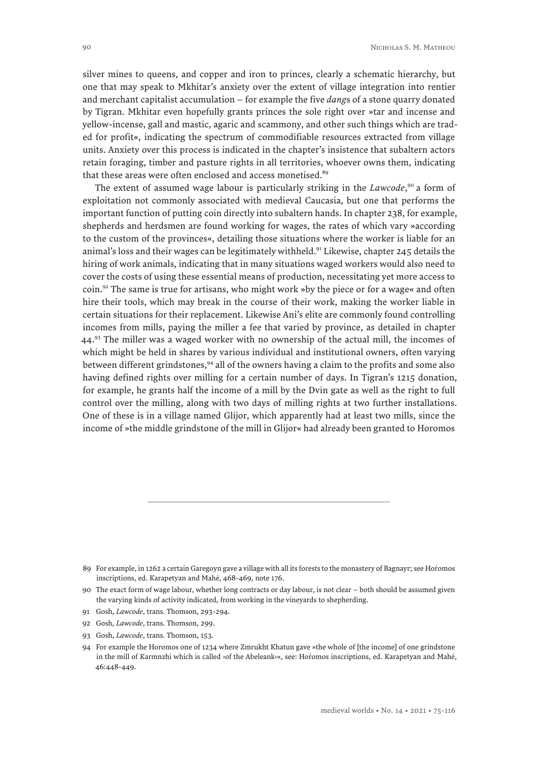silver mines to queens, and copper and iron to princes, clearly a schematic hierarchy, but one that may speak to Mkhitar's anxiety over the extent of village integration into rentier and merchant capitalist accumulation – for example the five *dang*s of a stone quarry donated by Tigran. Mkhitar even hopefully grants princes the sole right over »tar and incense and yellow-incense, gall and mastic, agaric and scammony, and other such things which are traded for profit«, indicating the spectrum of commodifiable resources extracted from village units. Anxiety over this process is indicated in the chapter's insistence that subaltern actors retain foraging, timber and pasture rights in all territories, whoever owns them, indicating that these areas were often enclosed and access monetised.<sup>89</sup>

The extent of assumed wage labour is particularly striking in the *Lawcode*, 90 a form of exploitation not commonly associated with medieval Caucasia, but one that performs the important function of putting coin directly into subaltern hands. In chapter 238, for example, shepherds and herdsmen are found working for wages, the rates of which vary »according to the custom of the provinces«, detailing those situations where the worker is liable for an animal's loss and their wages can be legitimately withheld.<sup>91</sup> Likewise, chapter 245 details the hiring of work animals, indicating that in many situations waged workers would also need to cover the costs of using these essential means of production, necessitating yet more access to coin.<sup>92</sup> The same is true for artisans, who might work »by the piece or for a wage« and often hire their tools, which may break in the course of their work, making the worker liable in certain situations for their replacement. Likewise Ani's elite are commonly found controlling incomes from mills, paying the miller a fee that varied by province, as detailed in chapter  $44<sup>93</sup>$  The miller was a waged worker with no ownership of the actual mill, the incomes of which might be held in shares by various individual and institutional owners, often varying between different grindstones, $94$  all of the owners having a claim to the profits and some also having defined rights over milling for a certain number of days. In Tigran's 1215 donation, for example, he grants half the income of a mill by the Dvin gate as well as the right to full control over the milling, along with two days of milling rights at two further installations. One of these is in a village named Glijor, which apparently had at least two mills, since the income of »the middle grindstone of the mill in Glijor« had already been granted to Horomos

- 91 Gosh, *Lawcode*, trans. Thomson, 293-294.
- 92 Gosh, *Lawcode*, trans. Thomson, 299.
- 93 Gosh, *Lawcode*, trans. Thomson, 153.

<sup>89</sup> For example, in 1262 a certain Garegoyn gave a village with all its forests to the monastery of Bagnayr; see Horomos inscriptions, ed. Karapetyan and Mahé, 468-469, note 176.

<sup>90</sup> The exact form of wage labour, whether long contracts or day labour, is not clear – both should be assumed given the varying kinds of activity indicated, from working in the vineyards to shepherding.

<sup>94</sup> For example the Horomos one of 1234 where Zmrukht Khatun gave »the whole of [the income] of one grindstone in the mill of Karmnzhi which is called ›of the Abeleank<sup>«</sup>, see: Horomos inscriptions, ed. Karapetyan and Mahé, 46:448-449.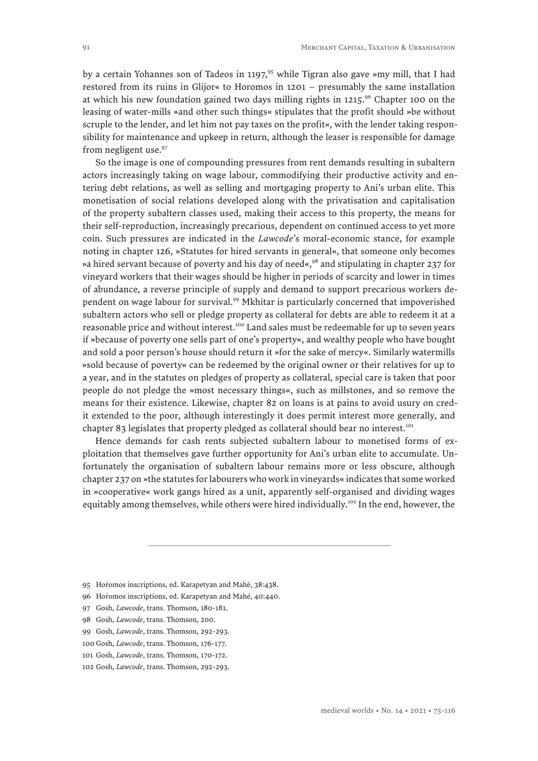by a certain Yohannes son of Tadeos in 1197,<sup>95</sup> while Tigran also gave »my mill, that I had restored from its ruins in Glijor« to Horomos in 1201 – presumably the same installation at which his new foundation gained two days milling rights in  $1215$ .<sup>96</sup> Chapter 100 on the leasing of water-mills »and other such things« stipulates that the profit should »be without scruple to the lender, and let him not pay taxes on the profit«, with the lender taking responsibility for maintenance and upkeep in return, although the leaser is responsible for damage from negligent use.<sup>97</sup>

So the image is one of compounding pressures from rent demands resulting in subaltern actors increasingly taking on wage labour, commodifying their productive activity and entering debt relations, as well as selling and mortgaging property to Ani's urban elite. This monetisation of social relations developed along with the privatisation and capitalisation of the property subaltern classes used, making their access to this property, the means for their self-reproduction, increasingly precarious, dependent on continued access to yet more coin. Such pressures are indicated in the *Lawcode*'s moral-economic stance, for example noting in chapter 126, »Statutes for hired servants in general«, that someone only becomes »a hired servant because of poverty and his day of need«,<sup>98</sup> and stipulating in chapter 237 for vineyard workers that their wages should be higher in periods of scarcity and lower in times of abundance, a reverse principle of supply and demand to support precarious workers dependent on wage labour for survival.<sup>99</sup> Mkhitar is particularly concerned that impoverished subaltern actors who sell or pledge property as collateral for debts are able to redeem it at a reasonable price and without interest.<sup>100</sup> Land sales must be redeemable for up to seven years if »because of poverty one sells part of one's property«, and wealthy people who have bought and sold a poor person's house should return it »for the sake of mercy«. Similarly watermills »sold because of poverty« can be redeemed by the original owner or their relatives for up to a year, and in the statutes on pledges of property as collateral, special care is taken that poor people do not pledge the »most necessary things«, such as millstones, and so remove the means for their existence. Likewise, chapter 82 on loans is at pains to avoid usury on credit extended to the poor, although interestingly it does permit interest more generally, and chapter 83 legislates that property pledged as collateral should bear no interest.<sup>101</sup>

Hence demands for cash rents subjected subaltern labour to monetised forms of exploitation that themselves gave further opportunity for Ani's urban elite to accumulate. Unfortunately the organisation of subaltern labour remains more or less obscure, although chapter 237 on »the statutes for labourers who work in vineyards« indicates that some worked in »cooperative« work gangs hired as a unit, apparently self-organised and dividing wages equitably among themselves, while others were hired individually.<sup>102</sup> In the end, however, the

100 Gosh, *Lawcode*, trans. Thomson, 176-177.

<sup>95</sup> Horomos inscriptions, ed. Karapetyan and Mahé, 38:438.

<sup>96</sup> Horomos inscriptions, ed. Karapetyan and Mahé, 40:440.

<sup>97</sup> Gosh, *Lawcode*, trans. Thomson, 180-181.

<sup>98</sup> Gosh, *Lawcode*, trans. Thomson, 200.

<sup>99</sup> Gosh, *Lawcode*, trans. Thomson, 292-293.

<sup>101</sup> Gosh, *Lawcode*, trans. Thomson, 170-172.

<sup>102</sup> Gosh, *Lawcode*, trans. Thomson, 292-293.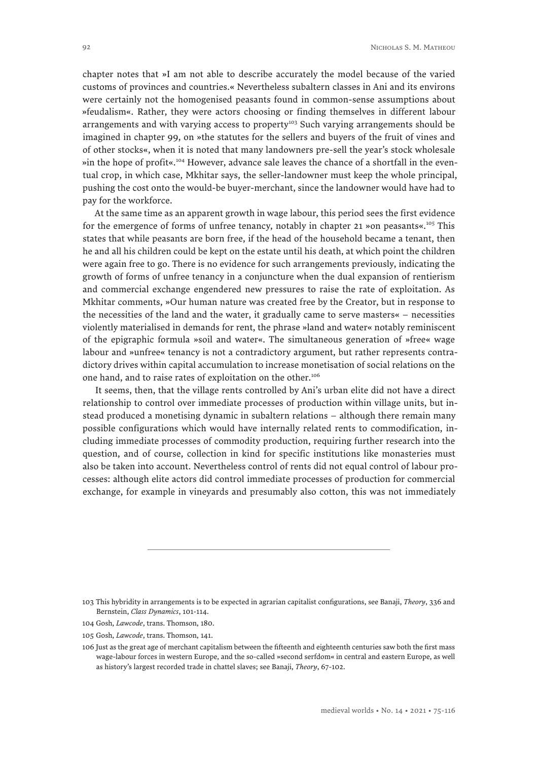chapter notes that »I am not able to describe accurately the model because of the varied customs of provinces and countries.« Nevertheless subaltern classes in Ani and its environs were certainly not the homogenised peasants found in common-sense assumptions about »feudalism«. Rather, they were actors choosing or finding themselves in different labour arrangements and with varying access to property<sup>103</sup> Such varying arrangements should be imagined in chapter 99, on »the statutes for the sellers and buyers of the fruit of vines and of other stocks«, when it is noted that many landowners pre-sell the year's stock wholesale »in the hope of profit«.104 However, advance sale leaves the chance of a shortfall in the eventual crop, in which case, Mkhitar says, the seller-landowner must keep the whole principal, pushing the cost onto the would-be buyer-merchant, since the landowner would have had to pay for the workforce.

At the same time as an apparent growth in wage labour, this period sees the first evidence for the emergence of forms of unfree tenancy, notably in chapter 21 »on peasants«.105 This states that while peasants are born free, if the head of the household became a tenant, then he and all his children could be kept on the estate until his death, at which point the children were again free to go. There is no evidence for such arrangements previously, indicating the growth of forms of unfree tenancy in a conjuncture when the dual expansion of rentierism and commercial exchange engendered new pressures to raise the rate of exploitation. As Mkhitar comments, »Our human nature was created free by the Creator, but in response to the necessities of the land and the water, it gradually came to serve masters« – necessities violently materialised in demands for rent, the phrase »land and water« notably reminiscent of the epigraphic formula »soil and water«. The simultaneous generation of »free« wage labour and »unfree« tenancy is not a contradictory argument, but rather represents contradictory drives within capital accumulation to increase monetisation of social relations on the one hand, and to raise rates of exploitation on the other.<sup>106</sup>

It seems, then, that the village rents controlled by Ani's urban elite did not have a direct relationship to control over immediate processes of production within village units, but instead produced a monetising dynamic in subaltern relations – although there remain many possible configurations which would have internally related rents to commodification, including immediate processes of commodity production, requiring further research into the question, and of course, collection in kind for specific institutions like monasteries must also be taken into account. Nevertheless control of rents did not equal control of labour processes: although elite actors did control immediate processes of production for commercial exchange, for example in vineyards and presumably also cotton, this was not immediately

105 Gosh, *Lawcode*, trans. Thomson, 141.

<sup>103</sup> This hybridity in arrangements is to be expected in agrarian capitalist configurations, see Banaji, *Theory*, 336 and Bernstein, *Class Dynamics*, 101-114.

<sup>104</sup> Gosh, *Lawcode*, trans. Thomson, 180.

<sup>106</sup> Just as the great age of merchant capitalism between the fifteenth and eighteenth centuries saw both the first mass wage-labour forces in western Europe, and the so-called »second serfdom« in central and eastern Europe, as well as history's largest recorded trade in chattel slaves; see Banaji, *Theory*, 67-102.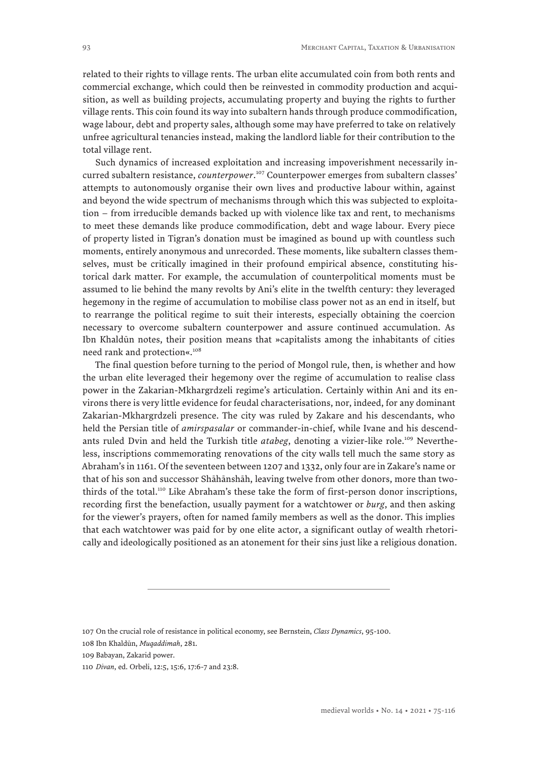related to their rights to village rents. The urban elite accumulated coin from both rents and commercial exchange, which could then be reinvested in commodity production and acquisition, as well as building projects, accumulating property and buying the rights to further village rents. This coin found its way into subaltern hands through produce commodification, wage labour, debt and property sales, although some may have preferred to take on relatively unfree agricultural tenancies instead, making the landlord liable for their contribution to the total village rent.

Such dynamics of increased exploitation and increasing impoverishment necessarily incurred subaltern resistance, *counterpower*. 107 Counterpower emerges from subaltern classes' attempts to autonomously organise their own lives and productive labour within, against and beyond the wide spectrum of mechanisms through which this was subjected to exploitation – from irreducible demands backed up with violence like tax and rent, to mechanisms to meet these demands like produce commodification, debt and wage labour. Every piece of property listed in Tigran's donation must be imagined as bound up with countless such moments, entirely anonymous and unrecorded. These moments, like subaltern classes themselves, must be critically imagined in their profound empirical absence, constituting historical dark matter. For example, the accumulation of counterpolitical moments must be assumed to lie behind the many revolts by Ani's elite in the twelfth century: they leveraged hegemony in the regime of accumulation to mobilise class power not as an end in itself, but to rearrange the political regime to suit their interests, especially obtaining the coercion necessary to overcome subaltern counterpower and assure continued accumulation. As Ibn Khaldūn notes, their position means that »capitalists among the inhabitants of cities need rank and protection«.108

The final question before turning to the period of Mongol rule, then, is whether and how the urban elite leveraged their hegemony over the regime of accumulation to realise class power in the Zakarian-Mkhargrdzeli regime's articulation. Certainly within Ani and its environs there is very little evidence for feudal characterisations, nor, indeed, for any dominant Zakarian-Mkhargrdzeli presence. The city was ruled by Zakare and his descendants, who held the Persian title of *amirspasalar* or commander-in-chief, while Ivane and his descendants ruled Dvin and held the Turkish title *atabeg*, denoting a vizier-like role.<sup>109</sup> Nevertheless, inscriptions commemorating renovations of the city walls tell much the same story as Abraham's in 1161. Of the seventeen between 1207 and 1332, only four are in Zakare's name or that of his son and successor Shāhānshāh, leaving twelve from other donors, more than twothirds of the total.110 Like Abraham's these take the form of first-person donor inscriptions, recording first the benefaction, usually payment for a watchtower or *burg*, and then asking for the viewer's prayers, often for named family members as well as the donor. This implies that each watchtower was paid for by one elite actor, a significant outlay of wealth rhetorically and ideologically positioned as an atonement for their sins just like a religious donation.

108 Ibn Khaldūn, *Muqaddimah*, 281.

<sup>107</sup> On the crucial role of resistance in political economy, see Bernstein, *Class Dynamics*, 95-100.

<sup>109</sup> Babayan, Zakarid power.

<sup>110</sup> *Divan*, ed. Orbeli, 12:5, 15:6, 17:6-7 and 23:8.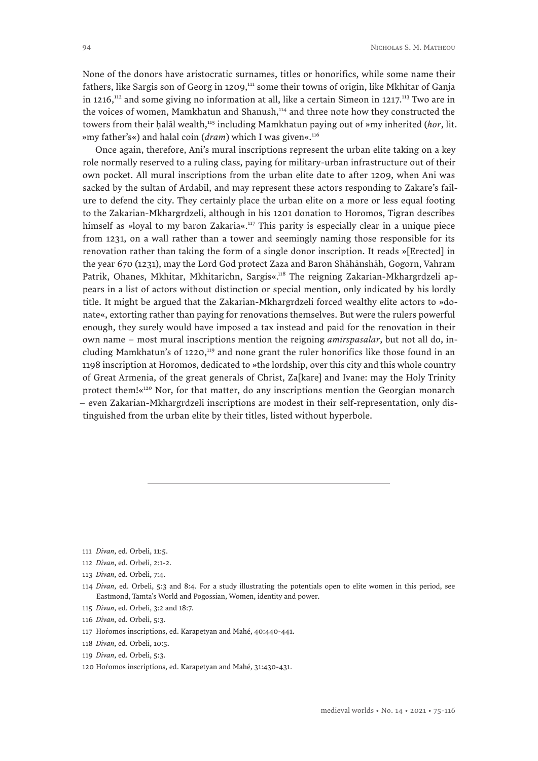None of the donors have aristocratic surnames, titles or honorifics, while some name their fathers, like Sargis son of Georg in 1209,<sup>111</sup> some their towns of origin, like Mkhitar of Ganja in 1216, $^{112}$  and some giving no information at all, like a certain Simeon in 1217.<sup>113</sup> Two are in the voices of women, Mamkhatun and Shanush,<sup>114</sup> and three note how they constructed the towers from their halāl wealth,<sup>115</sup> including Mamkhatun paying out of »my inherited (*hor*, lit. »my father's«) and halal coin (*dram*) which I was given«.116

Once again, therefore, Ani's mural inscriptions represent the urban elite taking on a key role normally reserved to a ruling class, paying for military-urban infrastructure out of their own pocket. All mural inscriptions from the urban elite date to after 1209, when Ani was sacked by the sultan of Ardabil, and may represent these actors responding to Zakare's failure to defend the city. They certainly place the urban elite on a more or less equal footing to the Zakarian-Mkhargrdzeli, although in his 1201 donation to Horomos, Tigran describes himself as »loyal to my baron Zakaria«.<sup>117</sup> This parity is especially clear in a unique piece from 1231, on a wall rather than a tower and seemingly naming those responsible for its renovation rather than taking the form of a single donor inscription. It reads »[Erected] in the year 670 (1231), may the Lord God protect Zaza and Baron Shāhānshāh, Gogorn, Vahram Patrik, Ohanes, Mkhitar, Mkhitarichn, Sargis«.118 The reigning Zakarian-Mkhargrdzeli appears in a list of actors without distinction or special mention, only indicated by his lordly title. It might be argued that the Zakarian-Mkhargrdzeli forced wealthy elite actors to »donate«, extorting rather than paying for renovations themselves. But were the rulers powerful enough, they surely would have imposed a tax instead and paid for the renovation in their own name – most mural inscriptions mention the reigning *amirspasalar*, but not all do, including Mamkhatun's of 1220,<sup>119</sup> and none grant the ruler honorifics like those found in an 1198 inscription at Horomos, dedicated to »the lordship, over this city and this whole country of Great Armenia, of the great generals of Christ, Za[kare] and Ivane: may the Holy Trinity protect them!«<sup>120</sup> Nor, for that matter, do any inscriptions mention the Georgian monarch – even Zakarian-Mkhargrdzeli inscriptions are modest in their self-representation, only distinguished from the urban elite by their titles, listed without hyperbole.

- 115 *Divan*, ed. Orbeli, 3:2 and 18:7.
- 116 *Divan*, ed. Orbeli, 5:3.
- 117 Horomos inscriptions, ed. Karapetyan and Mahé, 40:440-441.
- 118 *Divan*, ed. Orbeli, 10:5.
- 119 *Divan*, ed. Orbeli, 5:3.

<sup>111</sup> *Divan*, ed. Orbeli, 11:5.

<sup>112</sup> *Divan*, ed. Orbeli, 2:1-2.

<sup>113</sup> *Divan*, ed. Orbeli, 7:4.

<sup>114</sup> *Divan*, ed. Orbeli, 5:3 and 8:4. For a study illustrating the potentials open to elite women in this period, see Eastmond, Tamta's World and Pogossian, Women, identity and power.

<sup>120</sup> Horomos inscriptions, ed. Karapetyan and Mahé, 31:430-431.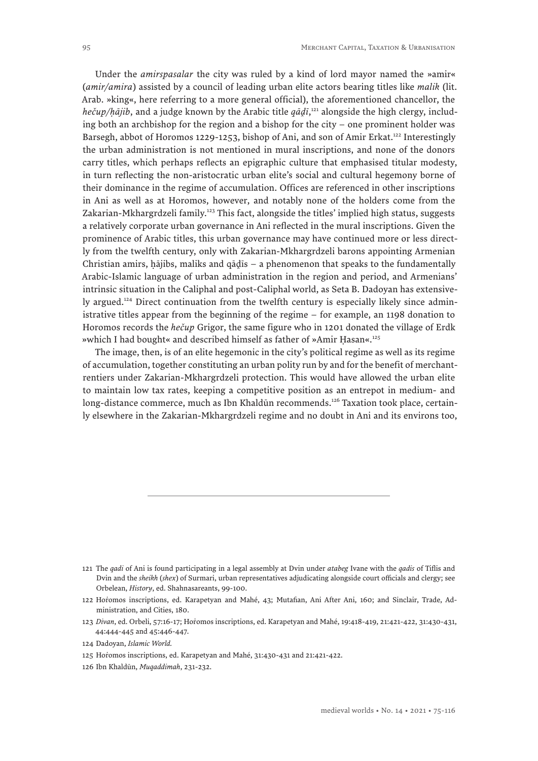Under the *amirspasalar* the city was ruled by a kind of lord mayor named the »amir« (*amir/amira*) assisted by a council of leading urban elite actors bearing titles like *malik* (lit. Arab. »king«, here referring to a more general official), the aforementioned chancellor, the *hečup/ḥājib*, and a judge known by the Arabic title *qādī*, 121 alongside the high clergy, includ*n*<sub>2</sub>, *i*<sub>2</sub>, *i*<sub>3</sub>, *i*<sub>3</sub>, *i*<sub>3</sub>, *i*<sub>3</sub>, *i*<sub>3</sub>, *i*<sub>3</sub>, *i*<sub>3</sub>, *i*<sub>3</sub>, *i*<sub>3</sub>, *i*<sub>3</sub>, *i*<sub>3</sub>, *i*<sub>3</sub>, *i*<sub>3</sub>, *i*<sub>3</sub>, *i*<sub>3</sub>, *i*<sub>3</sub>, *i*<sub>3</sub>, *i*<sub>3</sub>, *i*<sub>3</sub>, *i*<sub>3</sub>, *i*<sub>3</sub>, *i*<sub>3</sub>, *i*<sub>3</sub>, *i*<sub>3</sub>, *i*<sub>3</sub>, *i*<sub>3</sub> Barsegh, abbot of Horomos 1229-1253, bishop of Ani, and son of Amir Erkat.<sup>122</sup> Interestingly the urban administration is not mentioned in mural inscriptions, and none of the donors carry titles, which perhaps reflects an epigraphic culture that emphasised titular modesty, in turn reflecting the non-aristocratic urban elite's social and cultural hegemony borne of their dominance in the regime of accumulation. Offices are referenced in other inscriptions in Ani as well as at Horomos, however, and notably none of the holders come from the Zakarian-Mkhargrdzeli family.<sup>123</sup> This fact, alongside the titles' implied high status, suggests a relatively corporate urban governance in Ani reflected in the mural inscriptions. Given the prominence of Arabic titles, this urban governance may have continued more or less directly from the twelfth century, only with Zakarian-Mkhargrdzeli barons appointing Armenian Christian amirs, hājibs, maliks and qādīs  $-$  a phenomenon that speaks to the fundamentally Arabic-Islamic language of urban administration in the region and period, and Armenians' ˆ intrinsic situation in the Caliphal and post-Caliphal world, as Seta B. Dadoyan has extensively argued.<sup>124</sup> Direct continuation from the twelfth century is especially likely since administrative titles appear from the beginning of the regime – for example, an 1198 donation to Horomos records the *hečup* Grigor, the same figure who in 1201 donated the village of Erdk »which I had bought« and described himself as father of »Amir Hasan«.<sup>125</sup>

The image, then, is of an elite hegemonic in the city's political regime as well as its regime of accumulation, together constituting an urban polity run by and for the benefit of merchantrentiers under Zakarian-Mkhargrdzeli protection. This would have allowed the urban elite to maintain low tax rates, keeping a competitive position as an entrepot in medium- and long-distance commerce, much as Ibn Khaldūn recommends.<sup>126</sup> Taxation took place, certainly elsewhere in the Zakarian-Mkhargrdzeli regime and no doubt in Ani and its environs too,

<sup>121</sup> The *qadi* of Ani is found participating in a legal assembly at Dvin under *atabeg* Ivane with the *qadis* of Tiflis and Dvin and the *sheikh* (*shex*) of Surmari, urban representatives adjudicating alongside court officials and clergy; see Orbelean, *History*, ed. Shahnasareants, 99-100.

<sup>122</sup> Hoṙomos inscriptions, ed. Karapetyan and Mahé, 43; Mutafian, Ani After Ani, 160; and Sinclair, Trade, Administration, and Cities, 180.

<sup>123</sup> *Divan*, ed. Orbeli, 57:16-17; Hoṙomos inscriptions, ed. Karapetyan and Mahé, 19:418-419, 21:421-422, 31:430-431, 44:444-445 and 45:446-447.

<sup>124</sup> Dadoyan, *Islamic World.*

<sup>125</sup> Hoṙomos inscriptions, ed. Karapetyan and Mahé, 31:430-431 and 21:421-422.

<sup>126</sup> Ibn Khaldūn, *Muqaddimah*, 231-232.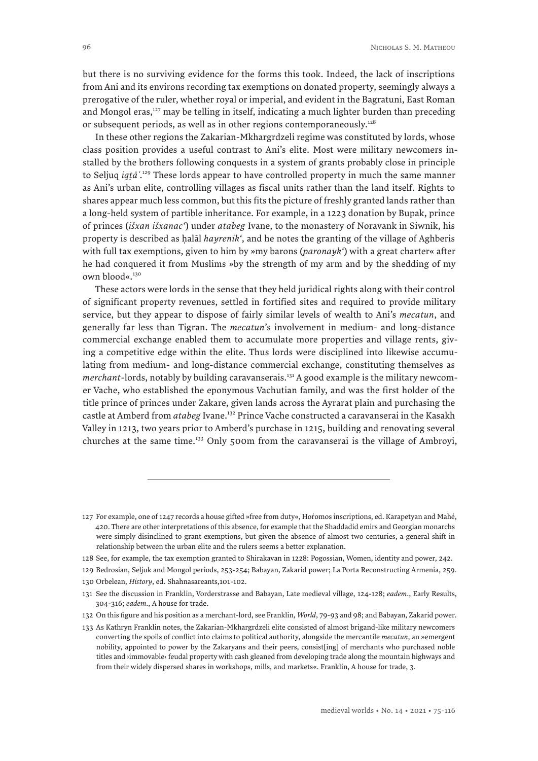but there is no surviving evidence for the forms this took. Indeed, the lack of inscriptions from Ani and its environs recording tax exemptions on donated property, seemingly always a prerogative of the ruler, whether royal or imperial, and evident in the Bagratuni, East Roman and Mongol eras, $127$  may be telling in itself, indicating a much lighter burden than preceding or subsequent periods, as well as in other regions contemporaneously.<sup>128</sup>

In these other regions the Zakarian-Mkhargrdzeli regime was constituted by lords, whose class position provides a useful contrast to Ani's elite. Most were military newcomers installed by the brothers following conquests in a system of grants probably close in principle to Seljuq *iqṭāʿ*. 129 These lords appear to have controlled property in much the same manner as Ani's urban elite, controlling villages as fiscal units rather than the land itself. Rights to shares appear much less common, but this fits the picture of freshly granted lands rather than a long-held system of partible inheritance. For example, in a 1223 donation by Bupak, prince of princes (*išxan išxanac'*) under *atabeg* Ivane, to the monastery of Noravank in Siwnik, his property is described as ḥalāl *hayrenik'*, and he notes the granting of the village of Aghberis with full tax exemptions, given to him by »my barons (*paronayk'*) with a great charter« after he had conquered it from Muslims »by the strength of my arm and by the shedding of my own blood«.<sup>130</sup>

These actors were lords in the sense that they held juridical rights along with their control of significant property revenues, settled in fortified sites and required to provide military service, but they appear to dispose of fairly similar levels of wealth to Ani's *mecatun*, and generally far less than Tigran. The *mecatun*'s involvement in medium- and long-distance commercial exchange enabled them to accumulate more properties and village rents, giving a competitive edge within the elite. Thus lords were disciplined into likewise accumulating from medium- and long-distance commercial exchange, constituting themselves as *merchant*-lords, notably by building caravanserais.<sup>131</sup> A good example is the military newcomer Vache, who established the eponymous Vachutian family, and was the first holder of the title prince of princes under Zakare, given lands across the Ayrarat plain and purchasing the castle at Amberd from *atabeg* Ivane.132 Prince Vache constructed a caravanserai in the Kasakh Valley in 1213, two years prior to Amberd's purchase in 1215, building and renovating several churches at the same time.133 Only 500m from the caravanserai is the village of Ambroyi,

<sup>127</sup> For example, one of 1247 records a house gifted »free from duty«, Hoṙomos inscriptions, ed. Karapetyan and Mahé, 420. There are other interpretations of this absence, for example that the Shaddadid emirs and Georgian monarchs were simply disinclined to grant exemptions, but given the absence of almost two centuries, a general shift in relationship between the urban elite and the rulers seems a better explanation.

<sup>128</sup> See, for example, the tax exemption granted to Shirakavan in 1228: Pogossian, Women, identity and power, 242.

<sup>129</sup> Bedrosian, Seljuk and Mongol periods, 253-254; Babayan, Zakarid power; La Porta Reconstructing Armenia, 259.

<sup>130</sup> Orbelean, *History*, ed. Shahnasareants,101-102.

<sup>131</sup> See the discussion in Franklin, Vorderstrasse and Babayan, Late medieval village, 124-128; *eadem*., Early Results, 304-316; *eadem*., A house for trade.

<sup>132</sup> On this figure and his position as a merchant-lord, see Franklin, *World*, 79-93 and 98; and Babayan, Zakarid power.

<sup>133</sup> As Kathryn Franklin notes, the Zakarian-Mkhargrdzeli elite consisted of almost brigand-like military newcomers converting the spoils of conflict into claims to political authority, alongside the mercantile *mecatun*, an »emergent nobility, appointed to power by the Zakaryans and their peers, consist[ing] of merchants who purchased noble titles and ›immovable‹ feudal property with cash gleaned from developing trade along the mountain highways and from their widely dispersed shares in workshops, mills, and markets«. Franklin, A house for trade, 3.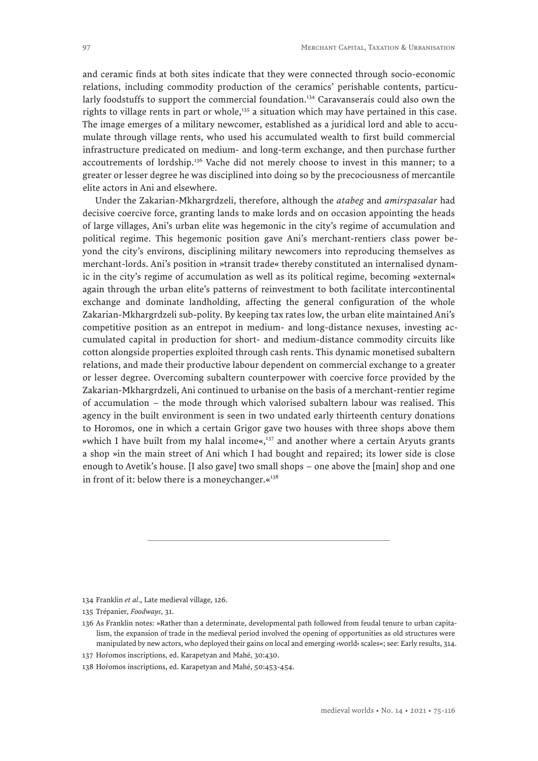and ceramic finds at both sites indicate that they were connected through socio-economic relations, including commodity production of the ceramics' perishable contents, particularly foodstuffs to support the commercial foundation.<sup>134</sup> Caravanserais could also own the rights to village rents in part or whole,<sup>135</sup> a situation which may have pertained in this case. The image emerges of a military newcomer, established as a juridical lord and able to accumulate through village rents, who used his accumulated wealth to first build commercial infrastructure predicated on medium- and long-term exchange, and then purchase further accoutrements of lordship.<sup>136</sup> Vache did not merely choose to invest in this manner; to a greater or lesser degree he was disciplined into doing so by the precociousness of mercantile elite actors in Ani and elsewhere.

Under the Zakarian-Mkhargrdzeli, therefore, although the *atabeg* and *amirspasalar* had decisive coercive force, granting lands to make lords and on occasion appointing the heads of large villages, Ani's urban elite was hegemonic in the city's regime of accumulation and political regime. This hegemonic position gave Ani's merchant-rentiers class power beyond the city's environs, disciplining military newcomers into reproducing themselves as merchant-lords. Ani's position in »transit trade« thereby constituted an internalised dynamic in the city's regime of accumulation as well as its political regime, becoming »external« again through the urban elite's patterns of reinvestment to both facilitate intercontinental exchange and dominate landholding, affecting the general configuration of the whole Zakarian-Mkhargrdzeli sub-polity. By keeping tax rates low, the urban elite maintained Ani's competitive position as an entrepot in medium- and long-distance nexuses, investing accumulated capital in production for short- and medium-distance commodity circuits like cotton alongside properties exploited through cash rents. This dynamic monetised subaltern relations, and made their productive labour dependent on commercial exchange to a greater or lesser degree. Overcoming subaltern counterpower with coercive force provided by the Zakarian-Mkhargrdzeli, Ani continued to urbanise on the basis of a merchant-rentier regime of accumulation – the mode through which valorised subaltern labour was realised. This agency in the built environment is seen in two undated early thirteenth century donations to Horomos, one in which a certain Grigor gave two houses with three shops above them »which I have built from my halal income«,137 and another where a certain Aryuts grants a shop »in the main street of Ani which I had bought and repaired; its lower side is close enough to Avetik's house. [I also gave] two small shops – one above the [main] shop and one in front of it: below there is a moneychanger. $\kappa^{138}$ 

137 Horomos inscriptions, ed. Karapetyan and Mahé, 30:430.

<sup>134</sup> Franklin *et al*., Late medieval village, 126.

<sup>135</sup> Trépanier, *Foodways*, 31.

<sup>136</sup> As Franklin notes: »Rather than a determinate, developmental path followed from feudal tenure to urban capitalism, the expansion of trade in the medieval period involved the opening of opportunities as old structures were manipulated by new actors, who deployed their gains on local and emerging ›world‹ scales«; see: Early results, 314.

<sup>138</sup> Horomos inscriptions, ed. Karapetyan and Mahé, 50:453-454.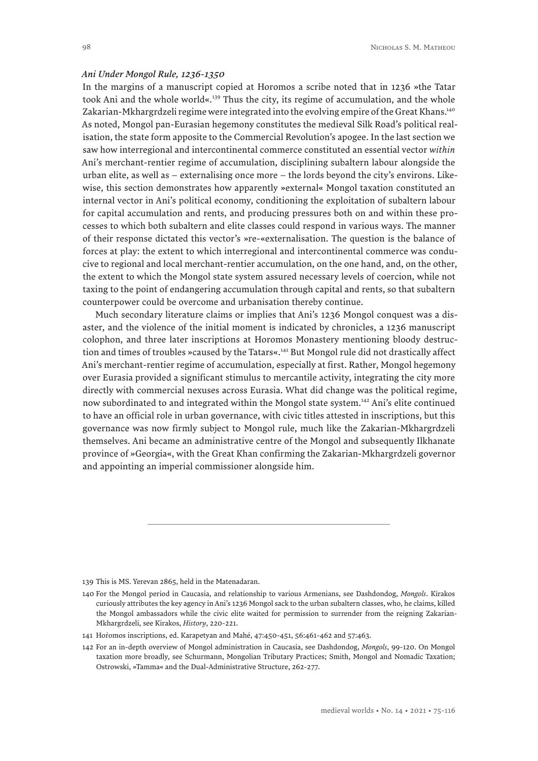#### *Ani Under Mongol Rule, 1236-1350*

In the margins of a manuscript copied at Horomos a scribe noted that in 1236 »the Tatar took Ani and the whole world«.139 Thus the city, its regime of accumulation, and the whole Zakarian-Mkhargrdzeli regime were integrated into the evolving empire of the Great Khans.<sup>140</sup> As noted, Mongol pan-Eurasian hegemony constitutes the medieval Silk Road's political realisation, the state form apposite to the Commercial Revolution's apogee. In the last section we saw how interregional and intercontinental commerce constituted an essential vector *within* Ani's merchant-rentier regime of accumulation, disciplining subaltern labour alongside the urban elite, as well as – externalising once more – the lords beyond the city's environs. Likewise, this section demonstrates how apparently »external« Mongol taxation constituted an internal vector in Ani's political economy, conditioning the exploitation of subaltern labour for capital accumulation and rents, and producing pressures both on and within these processes to which both subaltern and elite classes could respond in various ways. The manner of their response dictated this vector's »re-«externalisation. The question is the balance of forces at play: the extent to which interregional and intercontinental commerce was conducive to regional and local merchant-rentier accumulation, on the one hand, and, on the other, the extent to which the Mongol state system assured necessary levels of coercion, while not taxing to the point of endangering accumulation through capital and rents, so that subaltern counterpower could be overcome and urbanisation thereby continue.

Much secondary literature claims or implies that Ani's 1236 Mongol conquest was a disaster, and the violence of the initial moment is indicated by chronicles, a 1236 manuscript colophon, and three later inscriptions at Horomos Monastery mentioning bloody destruction and times of troubles »caused by the Tatars«.<sup>141</sup> But Mongol rule did not drastically affect Ani's merchant-rentier regime of accumulation, especially at first. Rather, Mongol hegemony over Eurasia provided a significant stimulus to mercantile activity, integrating the city more directly with commercial nexuses across Eurasia. What did change was the political regime, now subordinated to and integrated within the Mongol state system.142 Ani's elite continued to have an official role in urban governance, with civic titles attested in inscriptions, but this governance was now firmly subject to Mongol rule, much like the Zakarian-Mkhargrdzeli themselves. Ani became an administrative centre of the Mongol and subsequently Ilkhanate province of »Georgia«, with the Great Khan confirming the Zakarian-Mkhargrdzeli governor and appointing an imperial commissioner alongside him.

139 This is MS. Yerevan 2865, held in the Matenadaran.

<sup>140</sup> For the Mongol period in Caucasia, and relationship to various Armenians, see Dashdondog, *Mongols*. Kirakos curiously attributes the key agency in Ani's 1236 Mongol sack to the urban subaltern classes, who, he claims, killed the Mongol ambassadors while the civic elite waited for permission to surrender from the reigning Zakarian-Mkhargrdzeli, see Kirakos, *History*, 220-221.

<sup>141</sup> Horomos inscriptions, ed. Karapetyan and Mahé, 47:450-451, 56:461-462 and 57:463.

<sup>142</sup> For an in-depth overview of Mongol administration in Caucasia, see Dashdondog, *Mongols*, 99-120. On Mongol taxation more broadly, see Schurmann, Mongolian Tributary Practices; Smith, Mongol and Nomadic Taxation; Ostrowski, »Tamma« and the Dual-Administrative Structure, 262-277.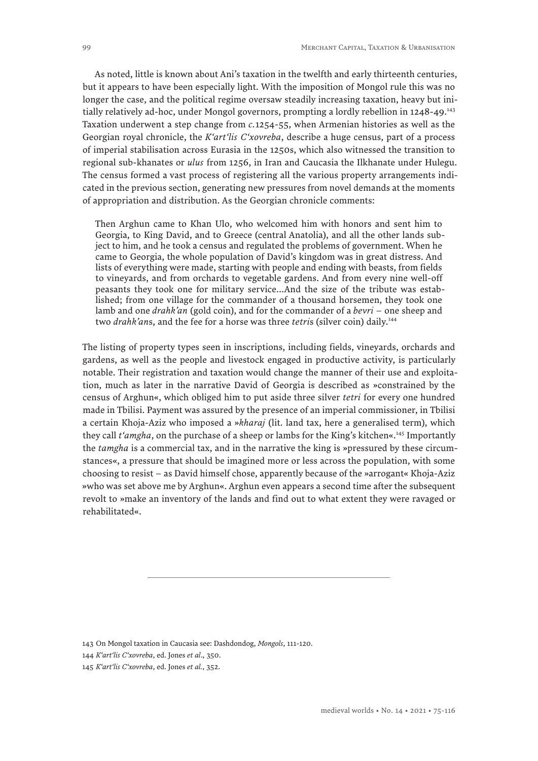As noted, little is known about Ani's taxation in the twelfth and early thirteenth centuries, but it appears to have been especially light. With the imposition of Mongol rule this was no longer the case, and the political regime oversaw steadily increasing taxation, heavy but initially relatively ad-hoc, under Mongol governors, prompting a lordly rebellion in 1248-49.<sup>143</sup> Taxation underwent a step change from *c.*1254-55, when Armenian histories as well as the Georgian royal chronicle, the *K'art'lis C'xovreba*, describe a huge census, part of a process of imperial stabilisation across Eurasia in the 1250s, which also witnessed the transition to regional sub-khanates or *ulus* from 1256, in Iran and Caucasia the Ilkhanate under Hulegu. The census formed a vast process of registering all the various property arrangements indicated in the previous section, generating new pressures from novel demands at the moments of appropriation and distribution. As the Georgian chronicle comments:

Then Arghun came to Khan Ulo, who welcomed him with honors and sent him to Georgia, to King David, and to Greece (central Anatolia), and all the other lands subject to him, and he took a census and regulated the problems of government. When he came to Georgia, the whole population of David's kingdom was in great distress. And lists of everything were made, starting with people and ending with beasts, from fields to vineyards, and from orchards to vegetable gardens. And from every nine well-off peasants they took one for military service...And the size of the tribute was established; from one village for the commander of a thousand horsemen, they took one lamb and one *drahk'an* (gold coin), and for the commander of a *bevri* – one sheep and two *drahk'an*s, and the fee for a horse was three *tetri*s (silver coin) daily.144

The listing of property types seen in inscriptions, including fields, vineyards, orchards and gardens, as well as the people and livestock engaged in productive activity, is particularly notable. Their registration and taxation would change the manner of their use and exploitation, much as later in the narrative David of Georgia is described as »constrained by the census of Arghun«, which obliged him to put aside three silver *tetri* for every one hundred made in Tbilisi. Payment was assured by the presence of an imperial commissioner, in Tbilisi a certain Khoja-Aziz who imposed a »*kharaj* (lit. land tax, here a generalised term), which they call *t'amgha*, on the purchase of a sheep or lambs for the King's kitchen«.145 Importantly the *tamgha* is a commercial tax, and in the narrative the king is »pressured by these circumstances«, a pressure that should be imagined more or less across the population, with some choosing to resist – as David himself chose, apparently because of the »arrogant« Khoja-Aziz »who was set above me by Arghun«. Arghun even appears a second time after the subsequent revolt to »make an inventory of the lands and find out to what extent they were ravaged or rehabilitated«.

<sup>143</sup> On Mongol taxation in Caucasia see: Dashdondog, *Mongols*, 111-120.

<sup>144</sup> *K'art'lis C'xovreba*, ed. Jones *et al*., 350.

<sup>145</sup> *K'art'lis C'xovreba*, ed. Jones *et al.*, 352.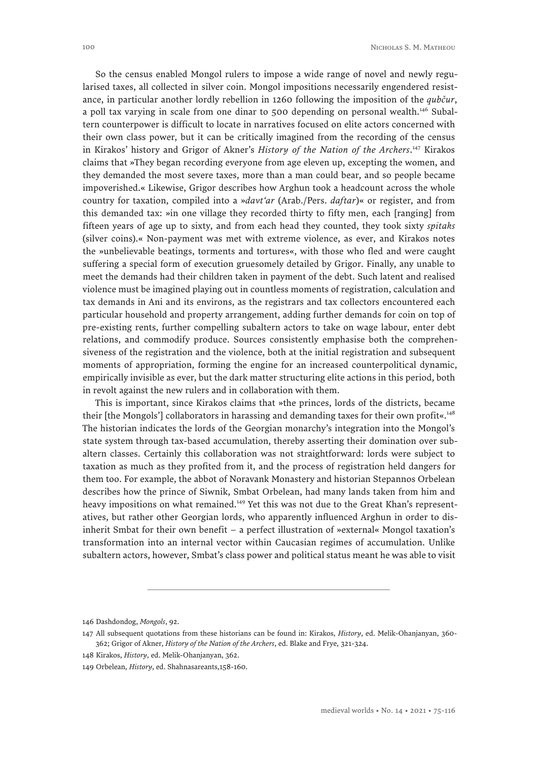So the census enabled Mongol rulers to impose a wide range of novel and newly regularised taxes, all collected in silver coin. Mongol impositions necessarily engendered resistance, in particular another lordly rebellion in 1260 following the imposition of the *qubčur*, a poll tax varying in scale from one dinar to 500 depending on personal wealth.<sup>146</sup> Subaltern counterpower is difficult to locate in narratives focused on elite actors concerned with their own class power, but it can be critically imagined from the recording of the census in Kirakos' history and Grigor of Akner's *History of the Nation of the Archers*. 147 Kirakos claims that »They began recording everyone from age eleven up, excepting the women, and they demanded the most severe taxes, more than a man could bear, and so people became impoverished.« Likewise, Grigor describes how Arghun took a headcount across the whole country for taxation, compiled into a »*davt'ar* (Arab./Pers. *daftar*)« or register, and from this demanded tax: »in one village they recorded thirty to fifty men, each [ranging] from fifteen years of age up to sixty, and from each head they counted, they took sixty *spitaks* (silver coins).« Non-payment was met with extreme violence, as ever, and Kirakos notes the »unbelievable beatings, torments and tortures«, with those who fled and were caught suffering a special form of execution gruesomely detailed by Grigor. Finally, any unable to meet the demands had their children taken in payment of the debt. Such latent and realised violence must be imagined playing out in countless moments of registration, calculation and tax demands in Ani and its environs, as the registrars and tax collectors encountered each particular household and property arrangement, adding further demands for coin on top of pre-existing rents, further compelling subaltern actors to take on wage labour, enter debt relations, and commodify produce. Sources consistently emphasise both the comprehensiveness of the registration and the violence, both at the initial registration and subsequent moments of appropriation, forming the engine for an increased counterpolitical dynamic, empirically invisible as ever, but the dark matter structuring elite actions in this period, both in revolt against the new rulers and in collaboration with them.

This is important, since Kirakos claims that »the princes, lords of the districts, became their [the Mongols'] collaborators in harassing and demanding taxes for their own profit«.<sup>148</sup> The historian indicates the lords of the Georgian monarchy's integration into the Mongol's state system through tax-based accumulation, thereby asserting their domination over subaltern classes. Certainly this collaboration was not straightforward: lords were subject to taxation as much as they profited from it, and the process of registration held dangers for them too. For example, the abbot of Noravank Monastery and historian Stepannos Orbelean describes how the prince of Siwnik, Smbat Orbelean, had many lands taken from him and heavy impositions on what remained.<sup>149</sup> Yet this was not due to the Great Khan's representatives, but rather other Georgian lords, who apparently influenced Arghun in order to disinherit Smbat for their own benefit – a perfect illustration of »external« Mongol taxation's transformation into an internal vector within Caucasian regimes of accumulation. Unlike subaltern actors, however, Smbat's class power and political status meant he was able to visit

<sup>146</sup> Dashdondog, *Mongols*, 92.

<sup>147</sup> All subsequent quotations from these historians can be found in: Kirakos, *History*, ed. Melik-Ohanjanyan, 360- 362; Grigor of Akner, *History of the Nation of the Archers*, ed. Blake and Frye, 321-324.

<sup>148</sup> Kirakos, *History*, ed. Melik-Ohanjanyan, 362.

<sup>149</sup> Orbelean, *History*, ed. Shahnasareants,158-160.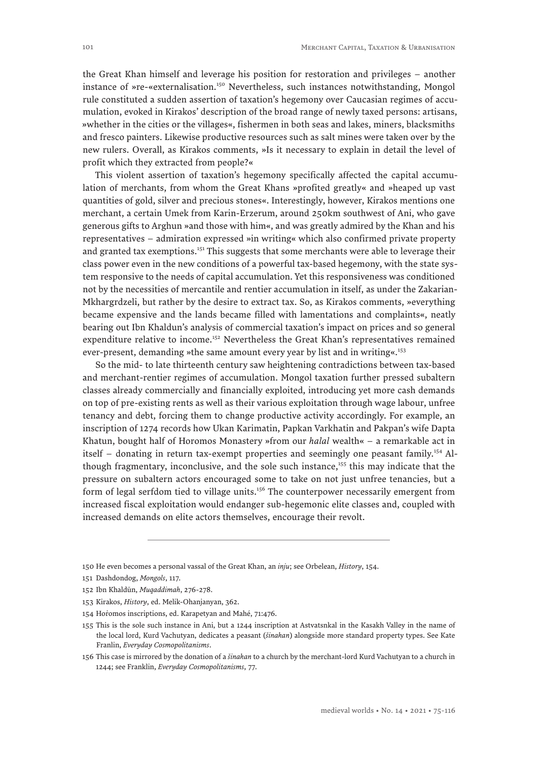the Great Khan himself and leverage his position for restoration and privileges – another instance of »re-«externalisation.<sup>150</sup> Nevertheless, such instances notwithstanding, Mongol rule constituted a sudden assertion of taxation's hegemony over Caucasian regimes of accumulation, evoked in Kirakos' description of the broad range of newly taxed persons: artisans, »whether in the cities or the villages«, fishermen in both seas and lakes, miners, blacksmiths and fresco painters. Likewise productive resources such as salt mines were taken over by the new rulers. Overall, as Kirakos comments, »Is it necessary to explain in detail the level of profit which they extracted from people?«

This violent assertion of taxation's hegemony specifically affected the capital accumulation of merchants, from whom the Great Khans »profited greatly« and »heaped up vast quantities of gold, silver and precious stones«. Interestingly, however, Kirakos mentions one merchant, a certain Umek from Karin-Erzerum, around 250km southwest of Ani, who gave generous gifts to Arghun »and those with him«, and was greatly admired by the Khan and his representatives – admiration expressed »in writing« which also confirmed private property and granted tax exemptions.<sup>151</sup> This suggests that some merchants were able to leverage their class power even in the new conditions of a powerful tax-based hegemony, with the state system responsive to the needs of capital accumulation. Yet this responsiveness was conditioned not by the necessities of mercantile and rentier accumulation in itself, as under the Zakarian-Mkhargrdzeli, but rather by the desire to extract tax. So, as Kirakos comments, »everything became expensive and the lands became filled with lamentations and complaints«, neatly bearing out Ibn Khaldun's analysis of commercial taxation's impact on prices and so general expenditure relative to income.<sup>152</sup> Nevertheless the Great Khan's representatives remained ever-present, demanding »the same amount every year by list and in writing«.<sup>153</sup>

So the mid- to late thirteenth century saw heightening contradictions between tax-based and merchant-rentier regimes of accumulation. Mongol taxation further pressed subaltern classes already commercially and financially exploited, introducing yet more cash demands on top of pre-existing rents as well as their various exploitation through wage labour, unfree tenancy and debt, forcing them to change productive activity accordingly. For example, an inscription of 1274 records how Ukan Karimatin, Papkan Varkhatin and Pakpan's wife Dapta Khatun, bought half of Horomos Monastery »from our *halal* wealth« – a remarkable act in itself – donating in return tax-exempt properties and seemingly one peasant family.154 Although fragmentary, inconclusive, and the sole such instance,<sup>155</sup> this may indicate that the pressure on subaltern actors encouraged some to take on not just unfree tenancies, but a form of legal serfdom tied to village units.<sup>156</sup> The counterpower necessarily emergent from increased fiscal exploitation would endanger sub-hegemonic elite classes and, coupled with increased demands on elite actors themselves, encourage their revolt.

<sup>150</sup> He even becomes a personal vassal of the Great Khan, an *inju*; see Orbelean, *History*, 154.

<sup>151</sup> Dashdondog, *Mongols*, 117.

<sup>152</sup> Ibn Khaldūn, *Muqaddimah*, 276-278.

<sup>153</sup> Kirakos, *History*, ed. Melik-Ohanjanyan, 362.

<sup>154</sup> Horomos inscriptions, ed. Karapetyan and Mahé, 71:476.

<sup>155</sup> This is the sole such instance in Ani, but a 1244 inscription at Astvatsnkal in the Kasakh Valley in the name of the local lord, Kurd Vachutyan, dedicates a peasant (*šinakan*) alongside more standard property types. See Kate Franlin, *Everyday Cosmopolitanisms*.

<sup>156</sup> This case is mirrored by the donation of a *šinakan* to a church by the merchant-lord Kurd Vachutyan to a church in 1244; see Franklin, *Everyday Cosmopolitanisms*, 77.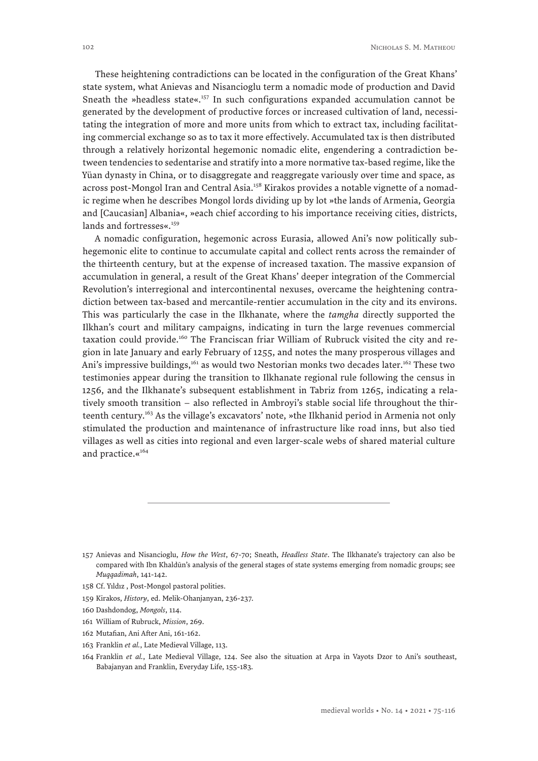These heightening contradictions can be located in the configuration of the Great Khans' state system, what Anievas and Nisancioglu term a nomadic mode of production and David Sneath the »headless state« $.157$  In such configurations expanded accumulation cannot be generated by the development of productive forces or increased cultivation of land, necessitating the integration of more and more units from which to extract tax, including facilitating commercial exchange so as to tax it more effectively. Accumulated tax is then distributed through a relatively horizontal hegemonic nomadic elite, engendering a contradiction between tendencies to sedentarise and stratify into a more normative tax-based regime, like the Yüan dynasty in China, or to disaggregate and reaggregate variously over time and space, as across post-Mongol Iran and Central Asia.<sup>158</sup> Kirakos provides a notable vignette of a nomadic regime when he describes Mongol lords dividing up by lot »the lands of Armenia, Georgia and [Caucasian] Albania«, »each chief according to his importance receiving cities, districts, lands and fortresses«.<sup>159</sup>

A nomadic configuration, hegemonic across Eurasia, allowed Ani's now politically subhegemonic elite to continue to accumulate capital and collect rents across the remainder of the thirteenth century, but at the expense of increased taxation. The massive expansion of accumulation in general, a result of the Great Khans' deeper integration of the Commercial Revolution's interregional and intercontinental nexuses, overcame the heightening contradiction between tax-based and mercantile-rentier accumulation in the city and its environs. This was particularly the case in the Ilkhanate, where the *tamgha* directly supported the Ilkhan's court and military campaigns, indicating in turn the large revenues commercial taxation could provide.<sup>160</sup> The Franciscan friar William of Rubruck visited the city and region in late January and early February of 1255, and notes the many prosperous villages and Ani's impressive buildings,<sup>161</sup> as would two Nestorian monks two decades later.<sup>162</sup> These two testimonies appear during the transition to Ilkhanate regional rule following the census in 1256, and the Ilkhanate's subsequent establishment in Tabriz from 1265, indicating a relatively smooth transition – also reflected in Ambroyi's stable social life throughout the thirteenth century.<sup>163</sup> As the village's excavators' note, »the Ilkhanid period in Armenia not only stimulated the production and maintenance of infrastructure like road inns, but also tied villages as well as cities into regional and even larger-scale webs of shared material culture and practice.«<sup>164</sup>

- 162 Mutafian, Ani After Ani, 161-162.
- 163 Franklin *et al.*, Late Medieval Village, 113.

<sup>157</sup> Anievas and Nisancioglu, *How the West*, 67-70; Sneath, *Headless State*. The Ilkhanate's trajectory can also be compared with Ibn Khaldūn's analysis of the general stages of state systems emerging from nomadic groups; see *Muqqadimah*, 141-142.

<sup>158</sup> Cf. Yıldız , Post-Mongol pastoral polities.

<sup>159</sup> Kirakos, *History*, ed. Melik-Ohanjanyan, 236-237.

<sup>160</sup> Dashdondog, *Mongols*, 114.

<sup>161</sup> William of Rubruck, *Mission*, 269.

<sup>164</sup> Franklin *et al.*, Late Medieval Village, 124. See also the situation at Arpa in Vayots Dzor to Ani's southeast, Babajanyan and Franklin, Everyday Life, 155-183.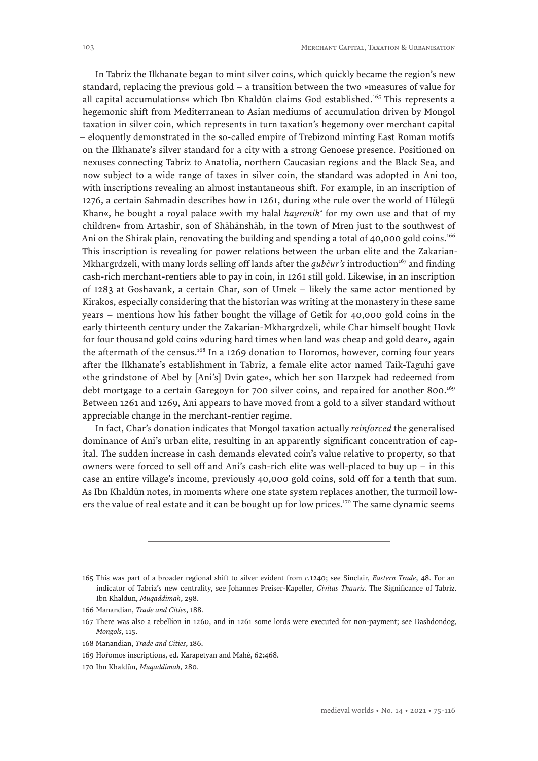In Tabriz the Ilkhanate began to mint silver coins, which quickly became the region's new standard, replacing the previous gold – a transition between the two »measures of value for all capital accumulations« which Ibn Khaldūn claims God established.165 This represents a hegemonic shift from Mediterranean to Asian mediums of accumulation driven by Mongol taxation in silver coin, which represents in turn taxation's hegemony over merchant capital – eloquently demonstrated in the so-called empire of Trebizond minting East Roman motifs on the Ilkhanate's silver standard for a city with a strong Genoese presence. Positioned on nexuses connecting Tabriz to Anatolia, northern Caucasian regions and the Black Sea, and now subject to a wide range of taxes in silver coin, the standard was adopted in Ani too, with inscriptions revealing an almost instantaneous shift. For example, in an inscription of 1276, a certain Sahmadin describes how in 1261, during »the rule over the world of Hülegü Khan«, he bought a royal palace »with my halal *hayrenik'* for my own use and that of my children« from Artashir, son of Shāhānshāh, in the town of Mren just to the southwest of Ani on the Shirak plain, renovating the building and spending a total of 40,000 gold coins.<sup>166</sup> This inscription is revealing for power relations between the urban elite and the Zakarian-Mkhargrdzeli, with many lords selling off lands after the *qubčur's* introduction<sup>167</sup> and finding cash-rich merchant-rentiers able to pay in coin, in 1261 still gold. Likewise, in an inscription of 1283 at Goshavank, a certain Char, son of Umek – likely the same actor mentioned by Kirakos, especially considering that the historian was writing at the monastery in these same years – mentions how his father bought the village of Getik for 40,000 gold coins in the early thirteenth century under the Zakarian-Mkhargrdzeli, while Char himself bought Hovk for four thousand gold coins »during hard times when land was cheap and gold dear«, again the aftermath of the census.<sup>168</sup> In a 1269 donation to Horomos, however, coming four years after the Ilkhanate's establishment in Tabriz, a female elite actor named Taik-Taguhi gave »the grindstone of Abel by [Ani's] Dvin gate«, which her son Harzpek had redeemed from debt mortgage to a certain Garegoyn for 700 silver coins, and repaired for another 800.<sup>169</sup> Between 1261 and 1269, Ani appears to have moved from a gold to a silver standard without appreciable change in the merchant-rentier regime.

In fact, Char's donation indicates that Mongol taxation actually *reinforced* the generalised dominance of Ani's urban elite, resulting in an apparently significant concentration of capital. The sudden increase in cash demands elevated coin's value relative to property, so that owners were forced to sell off and Ani's cash-rich elite was well-placed to buy up – in this case an entire village's income, previously 40,000 gold coins, sold off for a tenth that sum. As Ibn Khaldūn notes, in moments where one state system replaces another, the turmoil lowers the value of real estate and it can be bought up for low prices.<sup>170</sup> The same dynamic seems

<sup>165</sup> This was part of a broader regional shift to silver evident from *c.*1240; see Sinclair, *Eastern Trade*, 48. For an indicator of Tabriz's new centrality, see Johannes Preiser-Kapeller, *Civitas Thauris*. The Significance of Tabriz. Ibn Khaldūn, *Muqaddimah*, 298.

<sup>166</sup> Manandian, *Trade and Cities*, 188.

<sup>167</sup> There was also a rebellion in 1260, and in 1261 some lords were executed for non-payment; see Dashdondog, *Mongols*, 115.

<sup>168</sup> Manandian, *Trade and Cities*, 186.

<sup>169</sup> Horomos inscriptions, ed. Karapetyan and Mahé, 62:468.

<sup>170</sup> Ibn Khaldūn, *Muqaddimah*, 280.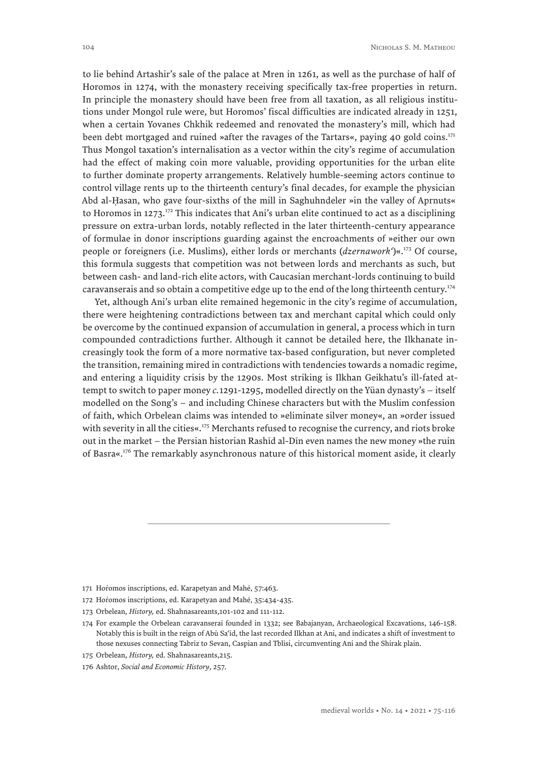to lie behind Artashir's sale of the palace at Mren in 1261, as well as the purchase of half of Horomos in 1274, with the monastery receiving specifically tax-free properties in return. In principle the monastery should have been free from all taxation, as all religious institutions under Mongol rule were, but Horomos' fiscal difficulties are indicated already in 1251, when a certain Yovanes Chkhik redeemed and renovated the monastery's mill, which had been debt mortgaged and ruined »after the ravages of the Tartars«, paying 40 gold coins.<sup>171</sup> Thus Mongol taxation's internalisation as a vector within the city's regime of accumulation had the effect of making coin more valuable, providing opportunities for the urban elite to further dominate property arrangements. Relatively humble-seeming actors continue to control village rents up to the thirteenth century's final decades, for example the physician Abd al-Ḥasan, who gave four-sixths of the mill in Saghuhndeler »in the valley of Aprnuts« to Horomos in 1273.<sup>172</sup> This indicates that Ani's urban elite continued to act as a disciplining pressure on extra-urban lords, notably reflected in the later thirteenth-century appearance of formulae in donor inscriptions guarding against the encroachments of »either our own people or foreigners (i.e. Muslims), either lords or merchants (*dzernawork'*)«.173 Of course, this formula suggests that competition was not between lords and merchants as such, but between cash- and land-rich elite actors, with Caucasian merchant-lords continuing to build caravanserais and so obtain a competitive edge up to the end of the long thirteenth century.<sup>174</sup>

Yet, although Ani's urban elite remained hegemonic in the city's regime of accumulation, there were heightening contradictions between tax and merchant capital which could only be overcome by the continued expansion of accumulation in general, a process which in turn compounded contradictions further. Although it cannot be detailed here, the Ilkhanate increasingly took the form of a more normative tax-based configuration, but never completed the transition, remaining mired in contradictions with tendencies towards a nomadic regime, and entering a liquidity crisis by the 1290s. Most striking is Ilkhan Geikhatu's ill-fated attempt to switch to paper money *c.*1291-1295, modelled directly on the Yüan dynasty's – itself modelled on the Song's – and including Chinese characters but with the Muslim confession of faith, which Orbelean claims was intended to »eliminate silver money«, an »order issued with severity in all the cities«.<sup>175</sup> Merchants refused to recognise the currency, and riots broke out in the market – the Persian historian Rashīd al-Dīn even names the new money »the ruin of Basra«.176 The remarkably asynchronous nature of this historical moment aside, it clearly

<sup>171</sup> Horomos inscriptions, ed. Karapetyan and Mahé, 57:463.

<sup>172</sup> Horomos inscriptions, ed. Karapetyan and Mahé, 35:434-435.

<sup>173</sup> Orbelean, *History,* ed. Shahnasareants,101-102 and 111-112.

<sup>174</sup> For example the Orbelean caravanserai founded in 1332; see Babajanyan, Archaeological Excavations, 146-158. Notably this is built in the reign of Abū Sa'īd, the last recorded Ilkhan at Ani, and indicates a shift of investment to those nexuses connecting Tabriz to Sevan, Caspian and Tblisi, circumventing Ani and the Shirak plain.

<sup>175</sup> Orbelean, *History,* ed. Shahnasareants,215.

<sup>176</sup> Ashtor, *Social and Economic History*, 257.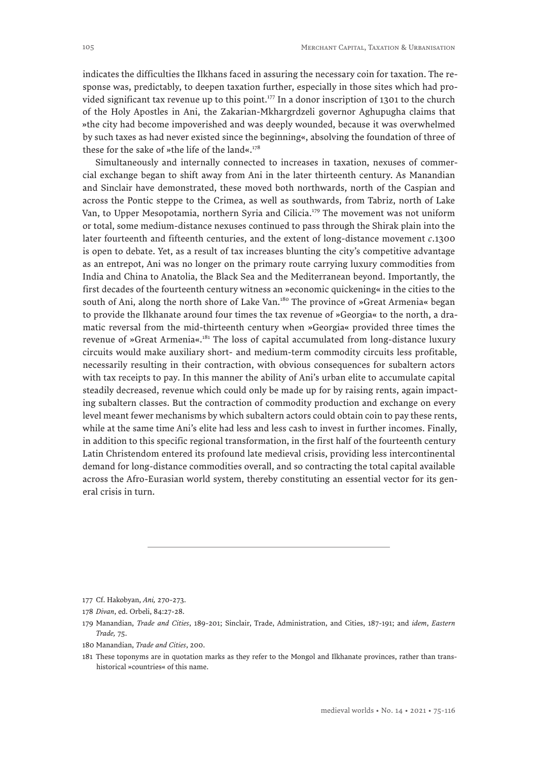indicates the difficulties the Ilkhans faced in assuring the necessary coin for taxation. The response was, predictably, to deepen taxation further, especially in those sites which had provided significant tax revenue up to this point.<sup>177</sup> In a donor inscription of 1301 to the church of the Holy Apostles in Ani, the Zakarian-Mkhargrdzeli governor Aghupugha claims that »the city had become impoverished and was deeply wounded, because it was overwhelmed by such taxes as had never existed since the beginning«, absolving the foundation of three of these for the sake of »the life of the land«. $178$ 

Simultaneously and internally connected to increases in taxation, nexuses of commercial exchange began to shift away from Ani in the later thirteenth century. As Manandian and Sinclair have demonstrated, these moved both northwards, north of the Caspian and across the Pontic steppe to the Crimea, as well as southwards, from Tabriz, north of Lake Van, to Upper Mesopotamia, northern Syria and Cilicia.<sup>179</sup> The movement was not uniform or total, some medium-distance nexuses continued to pass through the Shirak plain into the later fourteenth and fifteenth centuries, and the extent of long-distance movement *c*.1300 is open to debate. Yet, as a result of tax increases blunting the city's competitive advantage as an entrepot, Ani was no longer on the primary route carrying luxury commodities from India and China to Anatolia, the Black Sea and the Mediterranean beyond. Importantly, the first decades of the fourteenth century witness an »economic quickening« in the cities to the south of Ani, along the north shore of Lake Van.<sup>180</sup> The province of »Great Armenia« began to provide the Ilkhanate around four times the tax revenue of »Georgia« to the north, a dramatic reversal from the mid-thirteenth century when »Georgia« provided three times the revenue of »Great Armenia«.181 The loss of capital accumulated from long-distance luxury circuits would make auxiliary short- and medium-term commodity circuits less profitable, necessarily resulting in their contraction, with obvious consequences for subaltern actors with tax receipts to pay. In this manner the ability of Ani's urban elite to accumulate capital steadily decreased, revenue which could only be made up for by raising rents, again impacting subaltern classes. But the contraction of commodity production and exchange on every level meant fewer mechanisms by which subaltern actors could obtain coin to pay these rents, while at the same time Ani's elite had less and less cash to invest in further incomes. Finally, in addition to this specific regional transformation, in the first half of the fourteenth century Latin Christendom entered its profound late medieval crisis, providing less intercontinental demand for long-distance commodities overall, and so contracting the total capital available across the Afro-Eurasian world system, thereby constituting an essential vector for its general crisis in turn.

180 Manandian, *Trade and Cities*, 200.

<sup>177</sup> Cf. Hakobyan, *Ani,* 270-273.

<sup>178</sup> *Divan*, ed. Orbeli, 84:27-28.

<sup>179</sup> Manandian, *Trade and Cities*, 189-201; Sinclair, Trade, Administration, and Cities, 187-191; and *idem*, *Eastern Trade,* 75.

<sup>181</sup> These toponyms are in quotation marks as they refer to the Mongol and Ilkhanate provinces, rather than transhistorical »countries« of this name.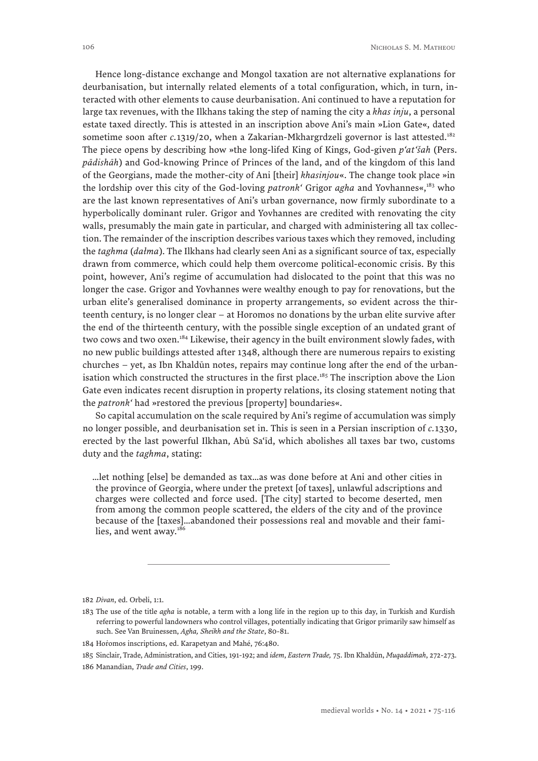Hence long-distance exchange and Mongol taxation are not alternative explanations for deurbanisation, but internally related elements of a total configuration, which, in turn, interacted with other elements to cause deurbanisation. Ani continued to have a reputation for large tax revenues, with the Ilkhans taking the step of naming the city a *khas inju*, a personal estate taxed directly. This is attested in an inscription above Ani's main »Lion Gate«, dated sometime soon after *c*.1319/20, when a Zakarian-Mkhargrdzeli governor is last attested.<sup>182</sup> The piece opens by describing how »the long-lifed King of Kings, God-given *p'at'šah* (Pers. *pādishāh*) and God-knowing Prince of Princes of the land, and of the kingdom of this land of the Georgians, made the mother-city of Ani [their] *khasinjou*«. The change took place »in the lordship over this city of the God-loving *patronk'* Grigor *agha* and Yovhannes«,<sup>183</sup> who are the last known representatives of Ani's urban governance, now firmly subordinate to a hyperbolically dominant ruler. Grigor and Yovhannes are credited with renovating the city walls, presumably the main gate in particular, and charged with administering all tax collection. The remainder of the inscription describes various taxes which they removed, including the *taghma* (*dałma*). The Ilkhans had clearly seen Ani as a significant source of tax, especially drawn from commerce, which could help them overcome political-economic crisis. By this point, however, Ani's regime of accumulation had dislocated to the point that this was no longer the case. Grigor and Yovhannes were wealthy enough to pay for renovations, but the urban elite's generalised dominance in property arrangements, so evident across the thirteenth century, is no longer clear – at Horomos no donations by the urban elite survive after the end of the thirteenth century, with the possible single exception of an undated grant of two cows and two oxen.<sup>184</sup> Likewise, their agency in the built environment slowly fades, with no new public buildings attested after 1348, although there are numerous repairs to existing churches – yet, as Ibn Khaldūn notes, repairs may continue long after the end of the urbanisation which constructed the structures in the first place.<sup>185</sup> The inscription above the Lion Gate even indicates recent disruption in property relations, its closing statement noting that the *patronk'* had »restored the previous [property] boundaries«.

So capital accumulation on the scale required by Ani's regime of accumulation was simply no longer possible, and deurbanisation set in. This is seen in a Persian inscription of *c.*1330, erected by the last powerful Ilkhan, Abū Sa'īd, which abolishes all taxes bar two, customs duty and the *taghma*, stating:

…let nothing [else] be demanded as tax…as was done before at Ani and other cities in the province of Georgia, where under the pretext [of taxes], unlawful adscriptions and charges were collected and force used. [The city] started to become deserted, men from among the common people scattered, the elders of the city and of the province because of the [taxes]…abandoned their possessions real and movable and their families, and went away.<sup>186</sup>

<sup>182</sup> *Divan*, ed. Orbeli, 1:1.

<sup>183</sup> The use of the title *agha* is notable, a term with a long life in the region up to this day, in Turkish and Kurdish referring to powerful landowners who control villages, potentially indicating that Grigor primarily saw himself as such. See Van Bruinessen, *Agha, Sheikh and the State*, 80-81.

<sup>184</sup> Horomos inscriptions, ed. Karapetyan and Mahé, 76:480.

<sup>185</sup> Sinclair, Trade, Administration, and Cities, 191-192; and *idem*, *Eastern Trade,* 75. Ibn Khaldūn, *Muqaddimah*, 272-273.

<sup>186</sup> Manandian, *Trade and Cities*, 199.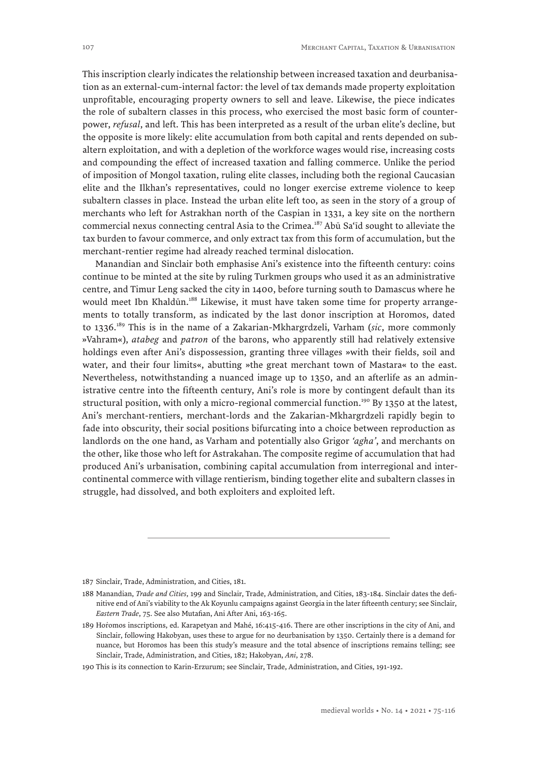This inscription clearly indicates the relationship between increased taxation and deurbanisation as an external-cum-internal factor: the level of tax demands made property exploitation unprofitable, encouraging property owners to sell and leave. Likewise, the piece indicates the role of subaltern classes in this process, who exercised the most basic form of counterpower, *refusal*, and left. This has been interpreted as a result of the urban elite's decline, but the opposite is more likely: elite accumulation from both capital and rents depended on subaltern exploitation, and with a depletion of the workforce wages would rise, increasing costs and compounding the effect of increased taxation and falling commerce. Unlike the period of imposition of Mongol taxation, ruling elite classes, including both the regional Caucasian elite and the Ilkhan's representatives, could no longer exercise extreme violence to keep subaltern classes in place. Instead the urban elite left too, as seen in the story of a group of merchants who left for Astrakhan north of the Caspian in 1331, a key site on the northern commercial nexus connecting central Asia to the Crimea.187 Abū Sa'īd sought to alleviate the tax burden to favour commerce, and only extract tax from this form of accumulation, but the merchant-rentier regime had already reached terminal dislocation.

Manandian and Sinclair both emphasise Ani's existence into the fifteenth century: coins continue to be minted at the site by ruling Turkmen groups who used it as an administrative centre, and Timur Leng sacked the city in 1400, before turning south to Damascus where he would meet Ibn Khaldūn.<sup>188</sup> Likewise, it must have taken some time for property arrangements to totally transform, as indicated by the last donor inscription at Horomos, dated to 1336.189 This is in the name of a Zakarian-Mkhargrdzeli, Varham (*sic*, more commonly »Vahram«), *atabeg* and *patron* of the barons, who apparently still had relatively extensive holdings even after Ani's dispossession, granting three villages »with their fields, soil and water, and their four limits«, abutting »the great merchant town of Mastara« to the east. Nevertheless, notwithstanding a nuanced image up to 1350, and an afterlife as an administrative centre into the fifteenth century, Ani's role is more by contingent default than its structural position, with only a micro-regional commercial function.<sup>190</sup> By 1350 at the latest, Ani's merchant-rentiers, merchant-lords and the Zakarian-Mkhargrdzeli rapidly begin to fade into obscurity, their social positions bifurcating into a choice between reproduction as landlords on the one hand, as Varham and potentially also Grigor *'agha'*, and merchants on the other, like those who left for Astrakahan. The composite regime of accumulation that had produced Ani's urbanisation, combining capital accumulation from interregional and intercontinental commerce with village rentierism, binding together elite and subaltern classes in struggle, had dissolved, and both exploiters and exploited left.

<sup>187</sup> Sinclair, Trade, Administration, and Cities, 181.

<sup>188</sup> Manandian, *Trade and Cities*, 199 and Sinclair, Trade, Administration, and Cities, 183-184. Sinclair dates the definitive end of Ani's viability to the Ak Koyunlu campaigns against Georgia in the later fifteenth century; see Sinclair, *Eastern Trade*, 75. See also Mutafian, Ani After Ani, 163-165.

<sup>189</sup> Hořomos inscriptions, ed. Karapetyan and Mahé, 16:415-416. There are other inscriptions in the city of Ani, and Sinclair, following Hakobyan, uses these to argue for no deurbanisation by 1350. Certainly there is a demand for nuance, but Horomos has been this study's measure and the total absence of inscriptions remains telling; see Sinclair, Trade, Administration, and Cities, 182; Hakobyan, *Ani*, 278.

<sup>190</sup> This is its connection to Karin-Erzurum; see Sinclair, Trade, Administration, and Cities, 191-192.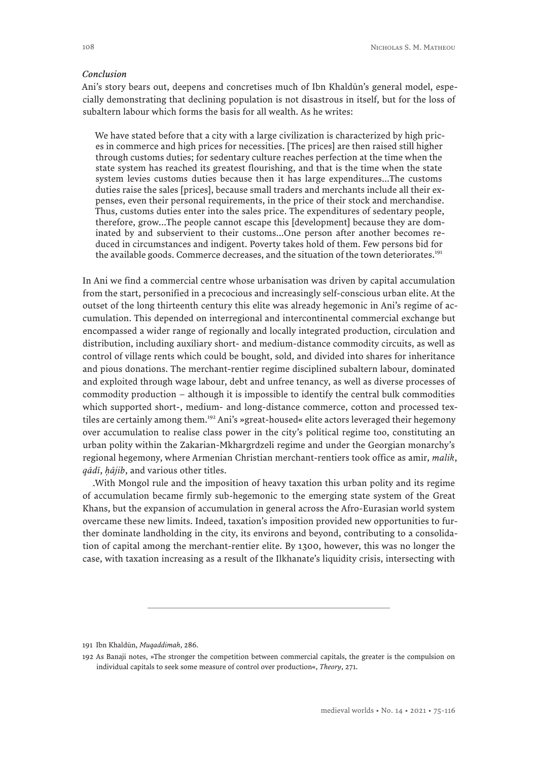#### *Conclusion*

Ani's story bears out, deepens and concretises much of Ibn Khaldūn's general model, especially demonstrating that declining population is not disastrous in itself, but for the loss of subaltern labour which forms the basis for all wealth. As he writes:

We have stated before that a city with a large civilization is characterized by high prices in commerce and high prices for necessities. [The prices] are then raised still higher through customs duties; for sedentary culture reaches perfection at the time when the state system has reached its greatest flourishing, and that is the time when the state system levies customs duties because then it has large expenditures...The customs duties raise the sales [prices], because small traders and merchants include all their expenses, even their personal requirements, in the price of their stock and merchandise. Thus, customs duties enter into the sales price. The expenditures of sedentary people, therefore, grow...The people cannot escape this [development] because they are dominated by and subservient to their customs...One person after another becomes reduced in circumstances and indigent. Poverty takes hold of them. Few persons bid for the available goods. Commerce decreases, and the situation of the town deteriorates.<sup>191</sup>

In Ani we find a commercial centre whose urbanisation was driven by capital accumulation from the start, personified in a precocious and increasingly self-conscious urban elite. At the outset of the long thirteenth century this elite was already hegemonic in Ani's regime of accumulation. This depended on interregional and intercontinental commercial exchange but encompassed a wider range of regionally and locally integrated production, circulation and distribution, including auxiliary short- and medium-distance commodity circuits, as well as control of village rents which could be bought, sold, and divided into shares for inheritance and pious donations. The merchant-rentier regime disciplined subaltern labour, dominated and exploited through wage labour, debt and unfree tenancy, as well as diverse processes of commodity production – although it is impossible to identify the central bulk commodities which supported short-, medium- and long-distance commerce, cotton and processed textiles are certainly among them.<sup>192</sup> Ani's »great-housed« elite actors leveraged their hegemony over accumulation to realise class power in the city's political regime too, constituting an urban polity within the Zakarian-Mkhargrdzeli regime and under the Georgian monarchy's regional hegemony, where Armenian Christian merchant-rentiers took office as amir, *malik*, *qādī*, *ḥājib*, and various other titles.

With Mongol rule and the imposition of heavy taxation this urban polity and its regime of accumulation became firmly sub-hegemonic to the emerging state system of the Great *ˆ* Khans, but the expansion of accumulation in general across the Afro-Eurasian world system overcame these new limits. Indeed, taxation's imposition provided new opportunities to further dominate landholding in the city, its environs and beyond, contributing to a consolidation of capital among the merchant-rentier elite. By 1300, however, this was no longer the case, with taxation increasing as a result of the Ilkhanate's liquidity crisis, intersecting with

<sup>191</sup> Ibn Khaldūn, *Muqaddimah*, 286.

<sup>192</sup> As Banaji notes, »The stronger the competition between commercial capitals, the greater is the compulsion on individual capitals to seek some measure of control over production«, *Theory*, 271.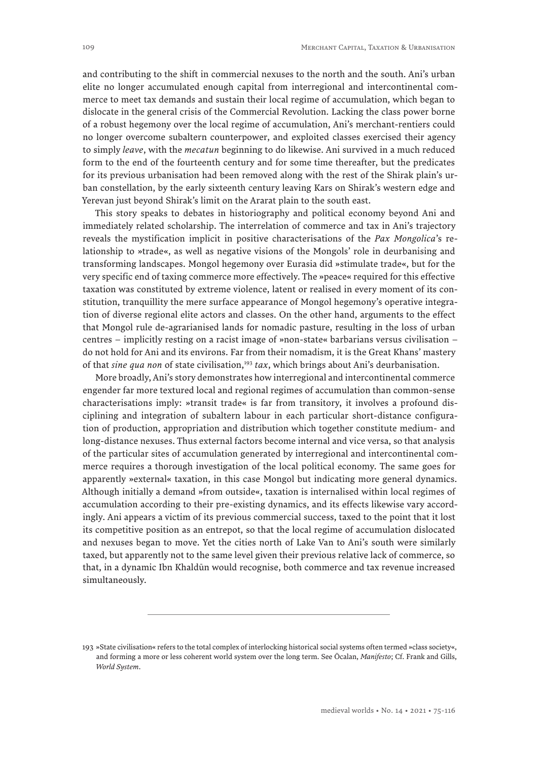and contributing to the shift in commercial nexuses to the north and the south. Ani's urban elite no longer accumulated enough capital from interregional and intercontinental commerce to meet tax demands and sustain their local regime of accumulation, which began to dislocate in the general crisis of the Commercial Revolution. Lacking the class power borne of a robust hegemony over the local regime of accumulation, Ani's merchant-rentiers could no longer overcome subaltern counterpower, and exploited classes exercised their agency to simply *leave*, with the *mecatun* beginning to do likewise. Ani survived in a much reduced form to the end of the fourteenth century and for some time thereafter, but the predicates for its previous urbanisation had been removed along with the rest of the Shirak plain's urban constellation, by the early sixteenth century leaving Kars on Shirak's western edge and Yerevan just beyond Shirak's limit on the Ararat plain to the south east.

This story speaks to debates in historiography and political economy beyond Ani and immediately related scholarship. The interrelation of commerce and tax in Ani's trajectory reveals the mystification implicit in positive characterisations of the *Pax Mongolica*'s relationship to »trade«, as well as negative visions of the Mongols' role in deurbanising and transforming landscapes. Mongol hegemony over Eurasia did »stimulate trade«, but for the very specific end of taxing commerce more effectively. The »peace« required for this effective taxation was constituted by extreme violence, latent or realised in every moment of its constitution, tranquillity the mere surface appearance of Mongol hegemony's operative integration of diverse regional elite actors and classes. On the other hand, arguments to the effect that Mongol rule de-agrarianised lands for nomadic pasture, resulting in the loss of urban centres – implicitly resting on a racist image of »non-state« barbarians versus civilisation – do not hold for Ani and its environs. Far from their nomadism, it is the Great Khans' mastery of that *sine qua non* of state civilisation,<sup>193</sup> tax, which brings about Ani's deurbanisation.

More broadly, Ani's story demonstrates how interregional and intercontinental commerce engender far more textured local and regional regimes of accumulation than common-sense characterisations imply: »transit trade« is far from transitory, it involves a profound disciplining and integration of subaltern labour in each particular short-distance configuration of production, appropriation and distribution which together constitute medium- and long-distance nexuses. Thus external factors become internal and vice versa, so that analysis of the particular sites of accumulation generated by interregional and intercontinental commerce requires a thorough investigation of the local political economy. The same goes for apparently »external« taxation, in this case Mongol but indicating more general dynamics. Although initially a demand »from outside«, taxation is internalised within local regimes of accumulation according to their pre-existing dynamics, and its effects likewise vary accordingly. Ani appears a victim of its previous commercial success, taxed to the point that it lost its competitive position as an entrepot, so that the local regime of accumulation dislocated and nexuses began to move. Yet the cities north of Lake Van to Ani's south were similarly taxed, but apparently not to the same level given their previous relative lack of commerce, so that, in a dynamic Ibn Khaldūn would recognise, both commerce and tax revenue increased simultaneously.

<sup>193</sup> »State civilisation« refers to the total complex of interlocking historical social systems often termed »class society«, and forming a more or less coherent world system over the long term. See Öcalan, *Manifesto*; Cf. Frank and Gills, *World System*.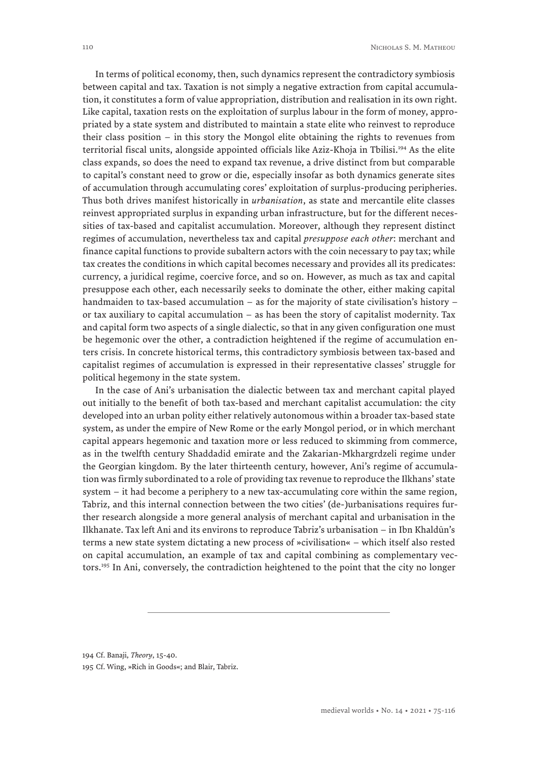In terms of political economy, then, such dynamics represent the contradictory symbiosis between capital and tax. Taxation is not simply a negative extraction from capital accumulation, it constitutes a form of value appropriation, distribution and realisation in its own right. Like capital, taxation rests on the exploitation of surplus labour in the form of money, appropriated by a state system and distributed to maintain a state elite who reinvest to reproduce their class position – in this story the Mongol elite obtaining the rights to revenues from territorial fiscal units, alongside appointed officials like Aziz-Khoja in Tbilisi.<sup>194</sup> As the elite class expands, so does the need to expand tax revenue, a drive distinct from but comparable to capital's constant need to grow or die, especially insofar as both dynamics generate sites of accumulation through accumulating cores' exploitation of surplus-producing peripheries. Thus both drives manifest historically in *urbanisation*, as state and mercantile elite classes reinvest appropriated surplus in expanding urban infrastructure, but for the different necessities of tax-based and capitalist accumulation. Moreover, although they represent distinct regimes of accumulation, nevertheless tax and capital *presuppose each other*: merchant and finance capital functions to provide subaltern actors with the coin necessary to pay tax; while tax creates the conditions in which capital becomes necessary and provides all its predicates: currency, a juridical regime, coercive force, and so on. However, as much as tax and capital presuppose each other, each necessarily seeks to dominate the other, either making capital handmaiden to tax-based accumulation – as for the majority of state civilisation's history – or tax auxiliary to capital accumulation – as has been the story of capitalist modernity. Tax and capital form two aspects of a single dialectic, so that in any given configuration one must be hegemonic over the other, a contradiction heightened if the regime of accumulation enters crisis. In concrete historical terms, this contradictory symbiosis between tax-based and capitalist regimes of accumulation is expressed in their representative classes' struggle for political hegemony in the state system.

In the case of Ani's urbanisation the dialectic between tax and merchant capital played out initially to the benefit of both tax-based and merchant capitalist accumulation: the city developed into an urban polity either relatively autonomous within a broader tax-based state system, as under the empire of New Rome or the early Mongol period, or in which merchant capital appears hegemonic and taxation more or less reduced to skimming from commerce, as in the twelfth century Shaddadid emirate and the Zakarian-Mkhargrdzeli regime under the Georgian kingdom. By the later thirteenth century, however, Ani's regime of accumulation was firmly subordinated to a role of providing tax revenue to reproduce the Ilkhans' state system – it had become a periphery to a new tax-accumulating core within the same region, Tabriz, and this internal connection between the two cities' (de-)urbanisations requires further research alongside a more general analysis of merchant capital and urbanisation in the Ilkhanate. Tax left Ani and its environs to reproduce Tabriz's urbanisation – in Ibn Khaldūn's terms a new state system dictating a new process of »civilisation« – which itself also rested on capital accumulation, an example of tax and capital combining as complementary vectors.195 In Ani, conversely, the contradiction heightened to the point that the city no longer

194 Cf. Banaji, *Theory*, 15-40.

<sup>195</sup> Cf. Wing, »Rich in Goods«; and Blair, Tabriz.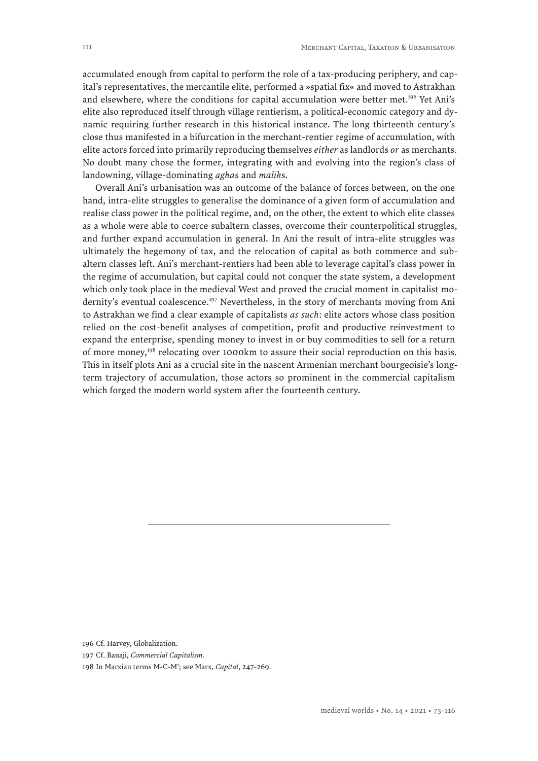accumulated enough from capital to perform the role of a tax-producing periphery, and capital's representatives, the mercantile elite, performed a »spatial fix« and moved to Astrakhan and elsewhere, where the conditions for capital accumulation were better met.<sup>196</sup> Yet Ani's elite also reproduced itself through village rentierism, a political-economic category and dynamic requiring further research in this historical instance. The long thirteenth century's close thus manifested in a bifurcation in the merchant-rentier regime of accumulation, with elite actors forced into primarily reproducing themselves *either* as landlords *or* as merchants. No doubt many chose the former, integrating with and evolving into the region's class of landowning, village-dominating *agha*s and *malik*s.

Overall Ani's urbanisation was an outcome of the balance of forces between, on the one hand, intra-elite struggles to generalise the dominance of a given form of accumulation and realise class power in the political regime, and, on the other, the extent to which elite classes as a whole were able to coerce subaltern classes, overcome their counterpolitical struggles, and further expand accumulation in general. In Ani the result of intra-elite struggles was ultimately the hegemony of tax, and the relocation of capital as both commerce and subaltern classes left. Ani's merchant-rentiers had been able to leverage capital's class power in the regime of accumulation, but capital could not conquer the state system, a development which only took place in the medieval West and proved the crucial moment in capitalist modernity's eventual coalescence.<sup>197</sup> Nevertheless, in the story of merchants moving from Ani to Astrakhan we find a clear example of capitalists *as such*: elite actors whose class position relied on the cost-benefit analyses of competition, profit and productive reinvestment to expand the enterprise, spending money to invest in or buy commodities to sell for a return of more money,<sup>198</sup> relocating over 1000km to assure their social reproduction on this basis. This in itself plots Ani as a crucial site in the nascent Armenian merchant bourgeoisie's longterm trajectory of accumulation, those actors so prominent in the commercial capitalism which forged the modern world system after the fourteenth century.

196 Cf. Harvey, Globalization.

197 Cf. Banaji, *Commercial Capitalism.*

198 In Marxian terms M-C-M′; see Marx, *Capital*, 247-269.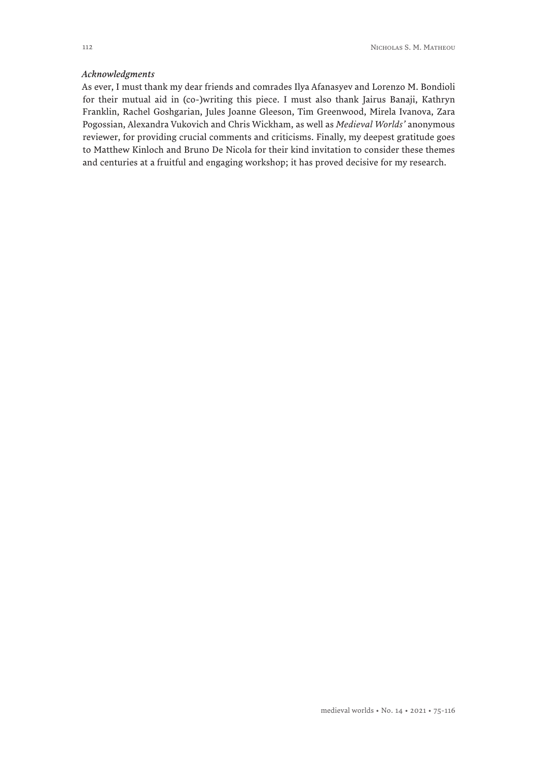#### *Acknowledgments*

As ever, I must thank my dear friends and comrades Ilya Afanasyev and Lorenzo M. Bondioli for their mutual aid in (co-)writing this piece. I must also thank Jairus Banaji, Kathryn Franklin, Rachel Goshgarian, Jules Joanne Gleeson, Tim Greenwood, Mirela Ivanova, Zara Pogossian, Alexandra Vukovich and Chris Wickham, as well as *Medieval Worlds'* anonymous reviewer, for providing crucial comments and criticisms. Finally, my deepest gratitude goes to Matthew Kinloch and Bruno De Nicola for their kind invitation to consider these themes and centuries at a fruitful and engaging workshop; it has proved decisive for my research.

medieval worlds • No. 14 • 2021 • 75-116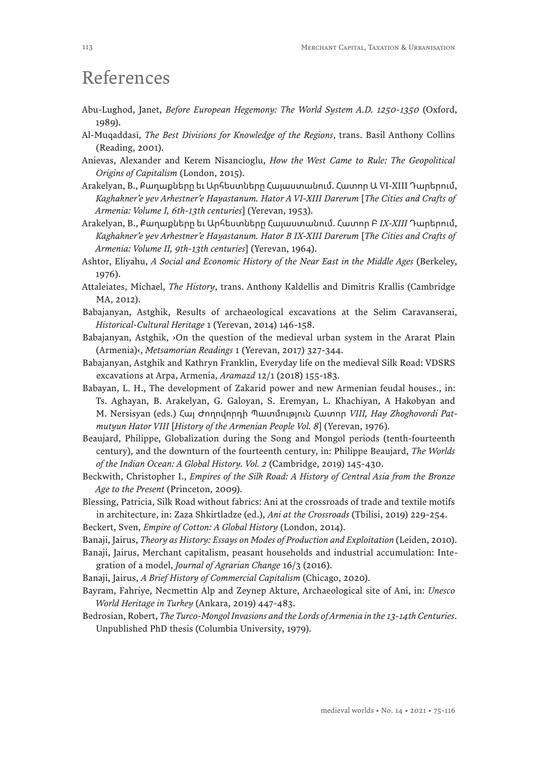## References

- Abu-Lughod, Janet, *Before European Hegemony: The World System A.D. 1250-1350* (Oxford, 1989).
- Al-Muqaddasī, *The Best Divisions for Knowledge of the Regions*, trans. Basil Anthony Collins (Reading, 2001).
- Anievas, Alexander and Kerem Nisancioglu, *How the West Came to Rule: The Geopolitical Origins of Capitalism* (London, 2015).
- Arakelyan, B., Քաղաքները եւ Արհեստները Հայաստանում. Հատոր Ա VI-XIII Դարերում, *Kaghakner'e yev Arhestner'e Hayastanum. Hator A VI-XIII Darerum* [*The Cities and Crafts of Armenia: Volume I, 6th-13th centuries*] (Yerevan, 1953).
- Arakelyan, B., Քաղաքները եւ Արհեստները Հայաստանում. Հատոր Բ *IX-XIII* Դարերում, *Kaghakner'e yev Arhestner'e Hayastanum. Hator B IX-XIII Darerum* [*The Cities and Crafts of Armenia: Volume II, 9th-13th centuries*] (Yerevan, 1964).
- Ashtor, Eliyahu, *A Social and Economic History of the Near East in the Middle Ages* (Berkeley, 1976).
- Attaleiates, Michael, *The History*, trans. Anthony Kaldellis and Dimitris Krallis (Cambridge MA, 2012).
- Babajanyan, Astghik, Results of archaeological excavations at the Selim Caravanserai, *Historical-Cultural Heritage* 1 (Yerevan, 2014) 146-158.
- Babajanyan, Astghik, ›On the question of the medieval urban system in the Ararat Plain (Armenia)‹, *Metsamorian Readings* 1 (Yerevan, 2017) 327-344.
- Babajanyan, Astghik and Kathryn Franklin, Everyday life on the medieval Silk Road: VDSRS excavations at Arpa, Armenia, *Aramazd* 12/1 (2018) 155-183.
- Babayan, L. H., The development of Zakarid power and new Armenian feudal houses., in: Ts. Aghayan, B. Arakelyan, G. Galoyan, S. Eremyan, L. Khachiyan, A Hakobyan and M. Nersisyan (eds.) Հայ Ժողովորդի Պատմություն Հատոր *VIII, Hay Zhoghovordi Patmutyun Hator VIII* [*History of the Armenian People Vol. 8*] (Yerevan, 1976).
- Beaujard, Philippe, Globalization during the Song and Mongol periods (tenth-fourteenth century), and the downturn of the fourteenth century, in: Philippe Beaujard, *The Worlds of the Indian Ocean: A Global History. Vol. 2* (Cambridge, 2019) 145-430.
- Beckwith, Christopher I., *Empires of the Silk Road: A History of Central Asia from the Bronze Age to the Present* (Princeton, 2009).
- Blessing, Patricia, Silk Road without fabrics: Ani at the crossroads of trade and textile motifs in architecture, in: Zaza Shkirtladze (ed.), *Ani at the Crossroads* (Tbilisi, 2019) 229-254.

Beckert, Sven, *Empire of Cotton: A Global History* (London, 2014).

- Banaji, Jairus, *Theory as History: Essays on Modes of Production and Exploitation* (Leiden, 2010).
- Banaji, Jairus, Merchant capitalism, peasant households and industrial accumulation: Integration of a model, *Journal of Agrarian Change* 16/3 (2016).
- Banaji, Jairus, *A Brief History of Commercial Capitalism* (Chicago, 2020).
- Bayram, Fahriye, Necmettin Alp and Zeynep Akture, Archaeological site of Ani, in: *Unesco World Heritage in Turkey* (Ankara, 2019) 447-483.
- Bedrosian, Robert, *The Turco-Mongol Invasions and the Lords of Armenia in the 13-14th Centuries*. Unpublished PhD thesis (Columbia University, 1979).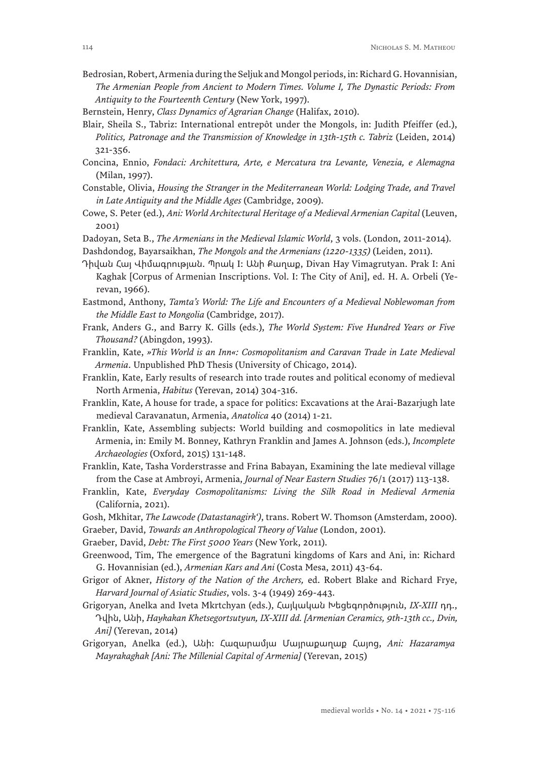Bedrosian, Robert, Armenia during the Seljuk and Mongol periods, in: Richard G. Hovannisian, *The Armenian People from Ancient to Modern Times. Volume I, The Dynastic Periods: From Antiquity to the Fourteenth Century* (New York, 1997).

Bernstein, Henry, *Class Dynamics of Agrarian Change* (Halifax, 2010).

- Blair, Sheila S., Tabriz: International entrepôt under the Mongols, in: Judith Pfeiffer (ed.), *Politics, Patronage and the Transmission of Knowledge in 13th-15th c. Tabriz (Leiden, 2014)* 321-356.
- Concina, Ennio, *Fondaci: Architettura, Arte, e Mercatura tra Levante, Venezia, e Alemagna* (Milan, 1997).
- Constable, Olivia, *Housing the Stranger in the Mediterranean World: Lodging Trade, and Travel in Late Antiquity and the Middle Ages* (Cambridge, 2009).
- Cowe, S. Peter (ed.), *Ani: World Architectural Heritage of a Medieval Armenian Capital* (Leuven, 2001)
- Dadoyan, Seta B., *The Armenians in the Medieval Islamic World*, 3 vols. (London, 2011-2014).
- Dashdondog, Bayarsaikhan, *The Mongols and the Armenians (1220-1335)* (Leiden, 2011).
- Դիվան Հայ Վիմագրության. Պրակ I: Անի Քաղաք, Divan Hay Vimagrutyan. Prak I: Ani Kaghak [Corpus of Armenian Inscriptions. Vol. I: The City of Ani], ed. H. A. Orbeli (Yerevan, 1966).
- Eastmond, Anthony, *Tamta's World: The Life and Encounters of a Medieval Noblewoman from the Middle East to Mongolia* (Cambridge, 2017).
- Frank, Anders G., and Barry K. Gills (eds.), *The World System: Five Hundred Years or Five Thousand?* (Abingdon, 1993).
- Franklin, Kate, *»This World is an Inn«: Cosmopolitanism and Caravan Trade in Late Medieval Armenia*. Unpublished PhD Thesis (University of Chicago, 2014).
- Franklin, Kate, Early results of research into trade routes and political economy of medieval North Armenia, *Habitus* (Yerevan, 2014) 304-316.
- Franklin, Kate, A house for trade, a space for politics: Excavations at the Arai-Bazarjugh late medieval Caravanatun, Armenia, *Anatolica* 40 (2014) 1-21.
- Franklin, Kate, Assembling subjects: World building and cosmopolitics in late medieval Armenia, in: Emily M. Bonney, Kathryn Franklin and James A. Johnson (eds.), *Incomplete Archaeologies* (Oxford, 2015) 131-148.
- Franklin, Kate, Tasha Vorderstrasse and Frina Babayan, Examining the late medieval village from the Case at Ambroyi, Armenia, *Journal of Near Eastern Studies* 76/1 (2017) 113-138.
- Franklin, Kate, *Everyday Cosmopolitanisms: Living the Silk Road in Medieval Armenia* (California, 2021).
- Gosh, Mkhitar, *The Lawcode (Datastanagirk')*, trans. Robert W. Thomson (Amsterdam, 2000). Graeber, David, *Towards an Anthropological Theory of Value* (London, 2001).

Graeber, David, *Debt: The First 5000 Years* (New York, 2011).

- Greenwood, Tim, The emergence of the Bagratuni kingdoms of Kars and Ani, in: Richard G. Hovannisian (ed.), *Armenian Kars and Ani* (Costa Mesa, 2011) 43-64.
- Grigor of Akner, *History of the Nation of the Archers,* ed. Robert Blake and Richard Frye, *Harvard Journal of Asiatic Studies*, vols. 3-4 (1949) 269-443.
- Grigoryan, Anelka and Iveta Mkrtchyan (eds.), Հայկական Խեցեգործություն, *IX-XIII* դդ., Դվին, Անի, *Haykakan Khetsegortsutyun, IX-XIII dd. [Armenian Ceramics, 9th-13th cc., Dvin, Ani]* (Yerevan, 2014)
- Grigoryan, Anelka (ed.), Անի: Հազարամյա Մայրաքաղաք Հայոց, *Ani: Hazaramya Mayrakaghak [Ani: The Millenial Capital of Armenia]* (Yerevan, 2015)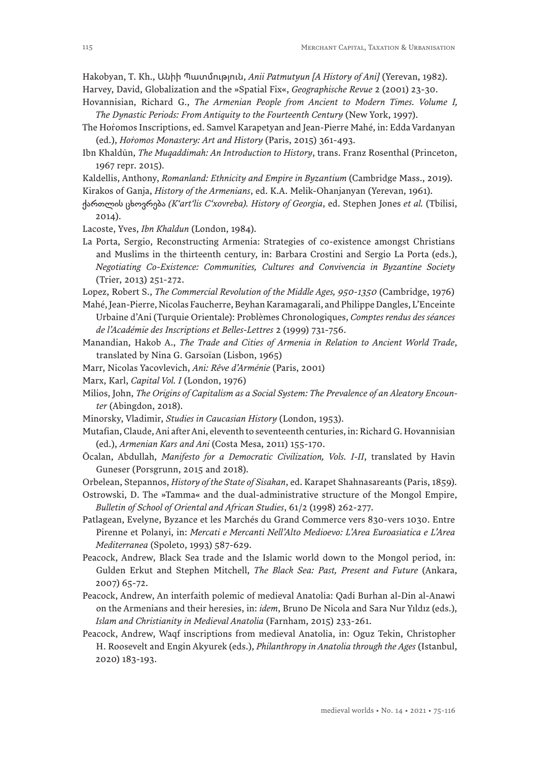Hakobyan, T. Kh., Անիի Պատմություն, *Anii Patmutyun [A History of Ani]* (Yerevan, 1982).

- Harvey, David, Globalization and the »Spatial Fix«, *Geographische Revue* 2 (2001) 23-30.
- Hovannisian, Richard G., *The Armenian People from Ancient to Modern Times. Volume I, The Dynastic Periods: From Antiquity to the Fourteenth Century* (New York, 1997).
- The Horomos Inscriptions, ed. Samvel Karapetyan and Jean-Pierre Mahé, in: Edda Vardanyan (ed.), *Hoṙomos Monastery: Art and History* (Paris, 2015) 361-493.
- Ibn Khaldūn, *The Muqaddimah: An Introduction to History*, trans. Franz Rosenthal (Princeton, 1967 repr. 2015).
- Kaldellis, Anthony, *Romanland: Ethnicity and Empire in Byzantium* (Cambridge Mass., 2019).
- Kirakos of Ganja, *History of the Armenians*, ed. K.A. Melik-Ohanjanyan (Yerevan, 1961).
- ქართლის ცხოვრება *(K'art'lis C'xovreba). History of Georgia*, ed. Stephen Jones *et al.* (Tbilisi, 2014).
- Lacoste, Yves, *Ibn Khaldun* (London, 1984).
- La Porta, Sergio, Reconstructing Armenia: Strategies of co-existence amongst Christians and Muslims in the thirteenth century, in: Barbara Crostini and Sergio La Porta (eds.), *Negotiating Co-Existence: Communities, Cultures and Convivencia in Byzantine Society* (Trier, 2013) 251-272.
- Lopez, Robert S., *The Commercial Revolution of the Middle Ages, 950-1350* (Cambridge, 1976)
- Mahé, Jean-Pierre, Nicolas Faucherre, Beyhan Karamagarali, and Philippe Dangles, L'Enceinte Urbaine d'Ani (Turquie Orientale): Problèmes Chronologiques, *Comptes rendus des séances de l'Académie des Inscriptions et Belles-Lettres* 2 (1999) 731-756.
- Manandian, Hakob A., *The Trade and Cities of Armenia in Relation to Ancient World Trade*, translated by Nina G. Garsoïan (Lisbon, 1965)
- Marr, Nicolas Yacovlevich, *Ani: Rêve d'Arménie* (Paris, 2001)
- Marx, Karl, *Capital Vol. I* (London, 1976)
- Milios, John, *The Origins of Capitalism as a Social System: The Prevalence of an Aleatory Encounter* (Abingdon, 2018).
- Minorsky, Vladimir, *Studies in Caucasian History* (London, 1953).
- Mutafian, Claude, Ani after Ani, eleventh to seventeenth centuries, in: Richard G. Hovannisian (ed.), *Armenian Kars and Ani* (Costa Mesa, 2011) 155-170.
- Öcalan, Abdullah, *Manifesto for a Democratic Civilization, Vols. I-II*, translated by Havin Guneser (Porsgrunn, 2015 and 2018).
- Orbelean, Stepannos, *History of the State of Sisakan*, ed. Karapet Shahnasareants (Paris, 1859).
- Ostrowski, D. The »Tamma« and the dual-administrative structure of the Mongol Empire, *Bulletin of School of Oriental and African Studies*, 61/2 (1998) 262-277.
- Patlagean, Evelyne, Byzance et les Marchés du Grand Commerce vers 830-vers 1030. Entre Pirenne et Polanyi, in: *Mercati e Mercanti Nell'Alto Medioevo: L'Area Euroasiatica e L'Area Mediterranea* (Spoleto, 1993) 587-629.
- Peacock, Andrew, Black Sea trade and the Islamic world down to the Mongol period, in: Gulden Erkut and Stephen Mitchell, *The Black Sea: Past, Present and Future* (Ankara, 2007) 65-72.
- Peacock, Andrew, An interfaith polemic of medieval Anatolia: Qadi Burhan al-Din al-Anawi on the Armenians and their heresies, in: *idem*, Bruno De Nicola and Sara Nur Yıldız (eds.), *Islam and Christianity in Medieval Anatolia* (Farnham, 2015) 233-261.
- Peacock, Andrew, Waqf inscriptions from medieval Anatolia, in: Oguz Tekin, Christopher H. Roosevelt and Engin Akyurek (eds.), *Philanthropy in Anatolia through the Ages* (Istanbul, 2020) 183-193.